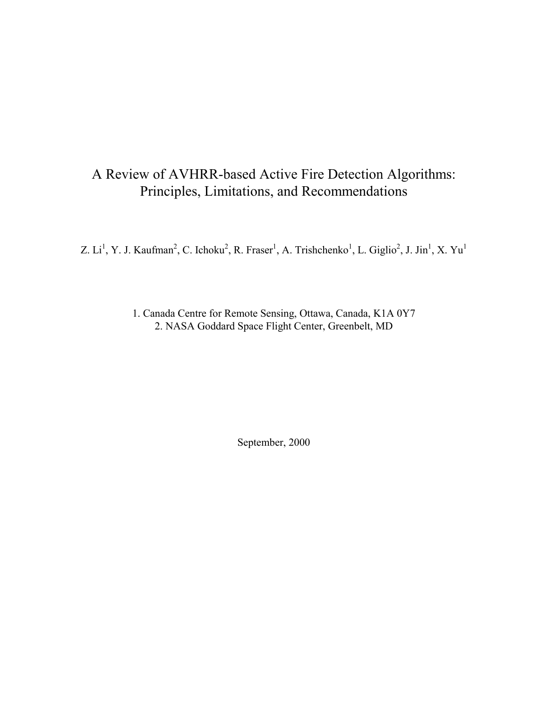# A Review of AVHRR-based Active Fire Detection Algorithms: Principles, Limitations, and Recommendations

Z. Li<sup>1</sup>, Y. J. Kaufman<sup>2</sup>, C. Ichoku<sup>2</sup>, R. Fraser<sup>1</sup>, A. Trishchenko<sup>1</sup>, L. Giglio<sup>2</sup>, J. Jin<sup>1</sup>, X. Yu<sup>1</sup>

1. Canada Centre for Remote Sensing, Ottawa, Canada, K1A 0Y7 2. NASA Goddard Space Flight Center, Greenbelt, MD

September, 2000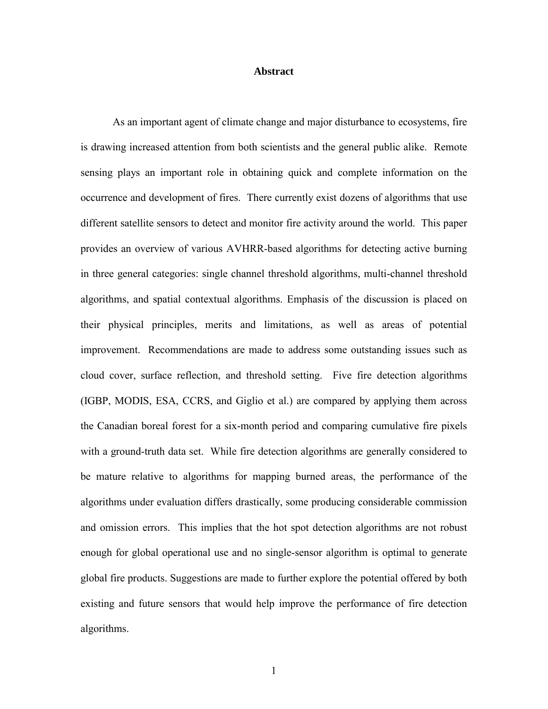#### **Abstract**

As an important agent of climate change and major disturbance to ecosystems, fire is drawing increased attention from both scientists and the general public alike. Remote sensing plays an important role in obtaining quick and complete information on the occurrence and development of fires. There currently exist dozens of algorithms that use different satellite sensors to detect and monitor fire activity around the world. This paper provides an overview of various AVHRR-based algorithms for detecting active burning in three general categories: single channel threshold algorithms, multi-channel threshold algorithms, and spatial contextual algorithms. Emphasis of the discussion is placed on their physical principles, merits and limitations, as well as areas of potential improvement. Recommendations are made to address some outstanding issues such as cloud cover, surface reflection, and threshold setting. Five fire detection algorithms (IGBP, MODIS, ESA, CCRS, and Giglio et al.) are compared by applying them across the Canadian boreal forest for a six-month period and comparing cumulative fire pixels with a ground-truth data set. While fire detection algorithms are generally considered to be mature relative to algorithms for mapping burned areas, the performance of the algorithms under evaluation differs drastically, some producing considerable commission and omission errors. This implies that the hot spot detection algorithms are not robust enough for global operational use and no single-sensor algorithm is optimal to generate global fire products. Suggestions are made to further explore the potential offered by both existing and future sensors that would help improve the performance of fire detection algorithms.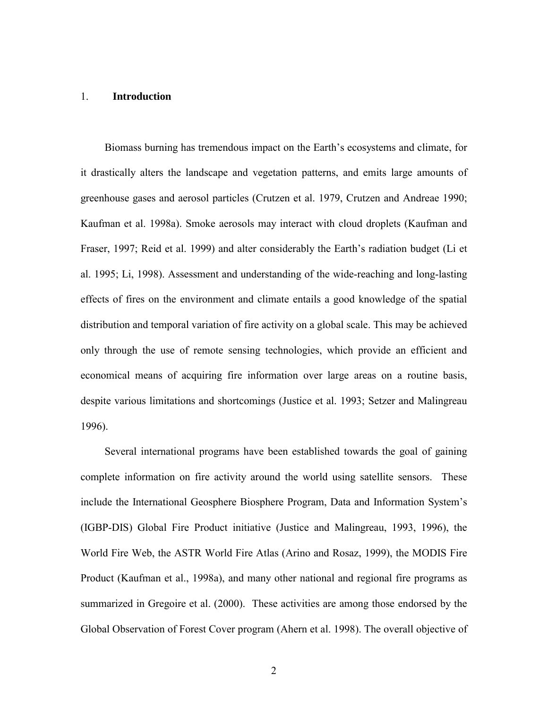#### 1. **Introduction**

Biomass burning has tremendous impact on the Earth's ecosystems and climate, for it drastically alters the landscape and vegetation patterns, and emits large amounts of greenhouse gases and aerosol particles (Crutzen et al. 1979, Crutzen and Andreae 1990; Kaufman et al. 1998a). Smoke aerosols may interact with cloud droplets (Kaufman and Fraser, 1997; Reid et al. 1999) and alter considerably the Earth's radiation budget (Li et al. 1995; Li, 1998). Assessment and understanding of the wide-reaching and long-lasting effects of fires on the environment and climate entails a good knowledge of the spatial distribution and temporal variation of fire activity on a global scale. This may be achieved only through the use of remote sensing technologies, which provide an efficient and economical means of acquiring fire information over large areas on a routine basis, despite various limitations and shortcomings (Justice et al. 1993; Setzer and Malingreau 1996).

Several international programs have been established towards the goal of gaining complete information on fire activity around the world using satellite sensors. These include the International Geosphere Biosphere Program, Data and Information System's (IGBP-DIS) Global Fire Product initiative (Justice and Malingreau, 1993, 1996), the World Fire Web, the ASTR World Fire Atlas (Arino and Rosaz, 1999), the MODIS Fire Product (Kaufman et al., 1998a), and many other national and regional fire programs as summarized in Gregoire et al. (2000). These activities are among those endorsed by the Global Observation of Forest Cover program (Ahern et al. 1998). The overall objective of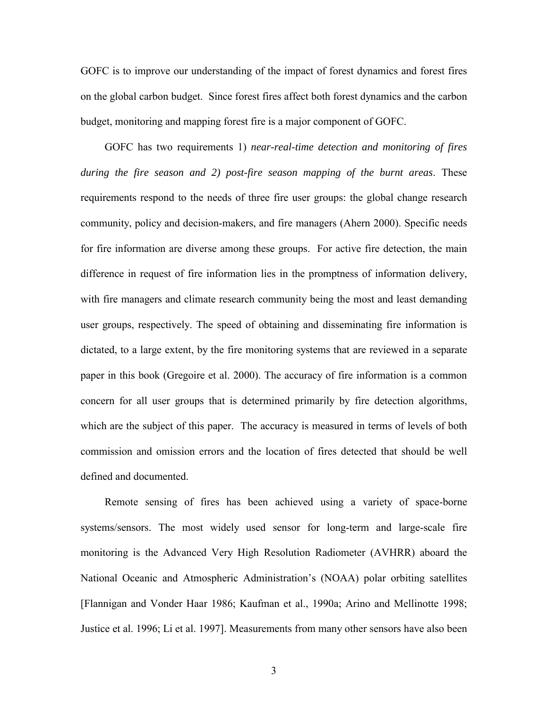GOFC is to improve our understanding of the impact of forest dynamics and forest fires on the global carbon budget. Since forest fires affect both forest dynamics and the carbon budget, monitoring and mapping forest fire is a major component of GOFC.

GOFC has two requirements 1) *near-real-time detection and monitoring of fires during the fire season and 2) post-fire season mapping of the burnt areas*. These requirements respond to the needs of three fire user groups: the global change research community, policy and decision-makers, and fire managers (Ahern 2000). Specific needs for fire information are diverse among these groups. For active fire detection, the main difference in request of fire information lies in the promptness of information delivery, with fire managers and climate research community being the most and least demanding user groups, respectively. The speed of obtaining and disseminating fire information is dictated, to a large extent, by the fire monitoring systems that are reviewed in a separate paper in this book (Gregoire et al. 2000). The accuracy of fire information is a common concern for all user groups that is determined primarily by fire detection algorithms, which are the subject of this paper. The accuracy is measured in terms of levels of both commission and omission errors and the location of fires detected that should be well defined and documented.

Remote sensing of fires has been achieved using a variety of space-borne systems/sensors. The most widely used sensor for long-term and large-scale fire monitoring is the Advanced Very High Resolution Radiometer (AVHRR) aboard the National Oceanic and Atmospheric Administration's (NOAA) polar orbiting satellites [Flannigan and Vonder Haar 1986; Kaufman et al., 1990a; Arino and Mellinotte 1998; Justice et al. 1996; Li et al. 1997]. Measurements from many other sensors have also been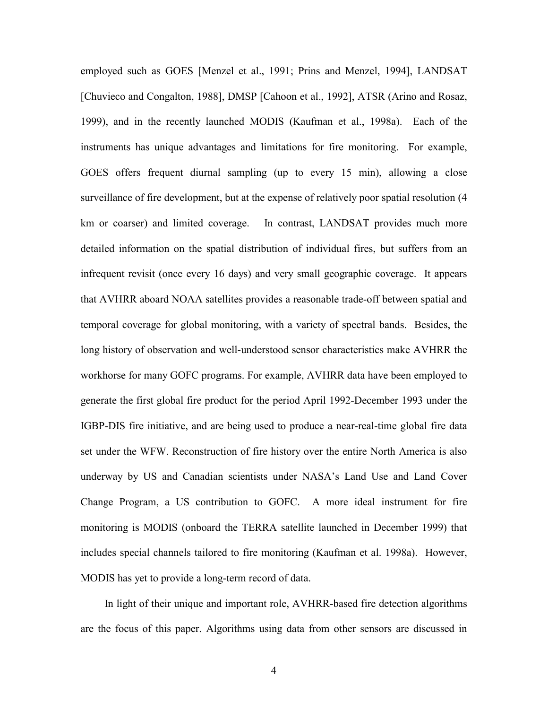employed such as GOES [Menzel et al., 1991; Prins and Menzel, 1994], LANDSAT [Chuvieco and Congalton, 1988], DMSP [Cahoon et al., 1992], ATSR (Arino and Rosaz, 1999), and in the recently launched MODIS (Kaufman et al., 1998a). Each of the instruments has unique advantages and limitations for fire monitoring. For example, GOES offers frequent diurnal sampling (up to every 15 min), allowing a close surveillance of fire development, but at the expense of relatively poor spatial resolution (4 km or coarser) and limited coverage. In contrast, LANDSAT provides much more detailed information on the spatial distribution of individual fires, but suffers from an infrequent revisit (once every 16 days) and very small geographic coverage. It appears that AVHRR aboard NOAA satellites provides a reasonable trade-off between spatial and temporal coverage for global monitoring, with a variety of spectral bands. Besides, the long history of observation and well-understood sensor characteristics make AVHRR the workhorse for many GOFC programs. For example, AVHRR data have been employed to generate the first global fire product for the period April 1992-December 1993 under the IGBP-DIS fire initiative, and are being used to produce a near-real-time global fire data set under the WFW. Reconstruction of fire history over the entire North America is also underway by US and Canadian scientists under NASA's Land Use and Land Cover Change Program, a US contribution to GOFC. A more ideal instrument for fire monitoring is MODIS (onboard the TERRA satellite launched in December 1999) that includes special channels tailored to fire monitoring (Kaufman et al. 1998a). However, MODIS has yet to provide a long-term record of data.

In light of their unique and important role, AVHRR-based fire detection algorithms are the focus of this paper. Algorithms using data from other sensors are discussed in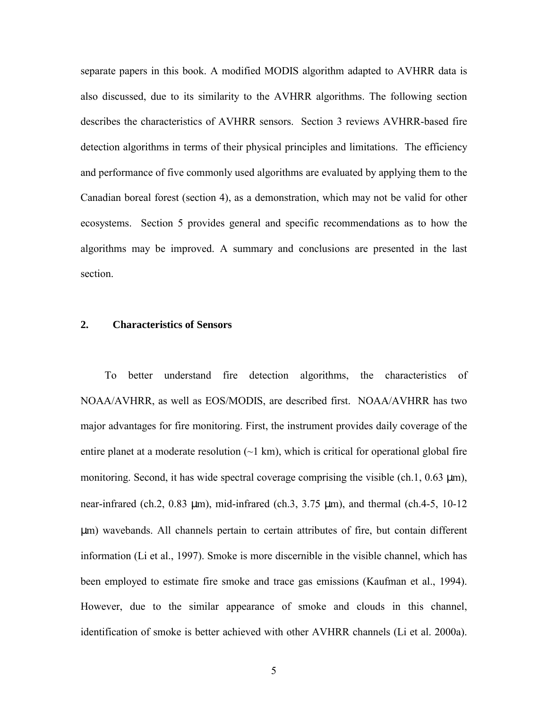separate papers in this book. A modified MODIS algorithm adapted to AVHRR data is also discussed, due to its similarity to the AVHRR algorithms. The following section describes the characteristics of AVHRR sensors. Section 3 reviews AVHRR-based fire detection algorithms in terms of their physical principles and limitations. The efficiency and performance of five commonly used algorithms are evaluated by applying them to the Canadian boreal forest (section 4), as a demonstration, which may not be valid for other ecosystems. Section 5 provides general and specific recommendations as to how the algorithms may be improved. A summary and conclusions are presented in the last section.

# **2. Characteristics of Sensors**

To better understand fire detection algorithms, the characteristics of NOAA/AVHRR, as well as EOS/MODIS, are described first. NOAA/AVHRR has two major advantages for fire monitoring. First, the instrument provides daily coverage of the entire planet at a moderate resolution  $(\sim 1 \text{ km})$ , which is critical for operational global fire monitoring. Second, it has wide spectral coverage comprising the visible (ch.1,  $0.63 \mu m$ ), near-infrared (ch.2,  $0.83 \mu m$ ), mid-infrared (ch.3,  $3.75 \mu m$ ), and thermal (ch.4-5,  $10-12$ µm) wavebands. All channels pertain to certain attributes of fire, but contain different information (Li et al., 1997). Smoke is more discernible in the visible channel, which has been employed to estimate fire smoke and trace gas emissions (Kaufman et al., 1994). However, due to the similar appearance of smoke and clouds in this channel, identification of smoke is better achieved with other AVHRR channels (Li et al. 2000a).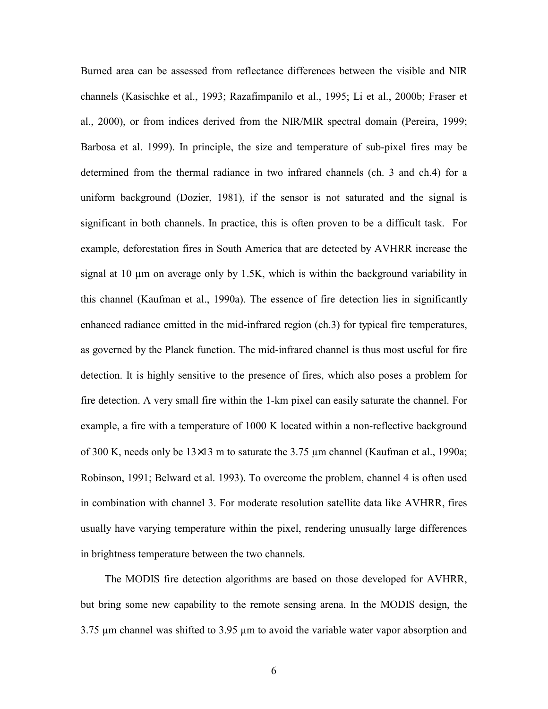Burned area can be assessed from reflectance differences between the visible and NIR channels (Kasischke et al., 1993; Razafimpanilo et al., 1995; Li et al., 2000b; Fraser et al., 2000), or from indices derived from the NIR/MIR spectral domain (Pereira, 1999; Barbosa et al. 1999). In principle, the size and temperature of sub-pixel fires may be determined from the thermal radiance in two infrared channels (ch. 3 and ch.4) for a uniform background (Dozier, 1981), if the sensor is not saturated and the signal is significant in both channels. In practice, this is often proven to be a difficult task. For example, deforestation fires in South America that are detected by AVHRR increase the signal at 10  $\mu$ m on average only by 1.5K, which is within the background variability in this channel (Kaufman et al., 1990a). The essence of fire detection lies in significantly enhanced radiance emitted in the mid-infrared region (ch.3) for typical fire temperatures, as governed by the Planck function. The mid-infrared channel is thus most useful for fire detection. It is highly sensitive to the presence of fires, which also poses a problem for fire detection. A very small fire within the 1-km pixel can easily saturate the channel. For example, a fire with a temperature of 1000 K located within a non-reflective background of 300 K, needs only be 13×13 m to saturate the 3.75 µm channel (Kaufman et al., 1990a; Robinson, 1991; Belward et al. 1993). To overcome the problem, channel 4 is often used in combination with channel 3. For moderate resolution satellite data like AVHRR, fires usually have varying temperature within the pixel, rendering unusually large differences in brightness temperature between the two channels.

The MODIS fire detection algorithms are based on those developed for AVHRR, but bring some new capability to the remote sensing arena. In the MODIS design, the 3.75 µm channel was shifted to 3.95 µm to avoid the variable water vapor absorption and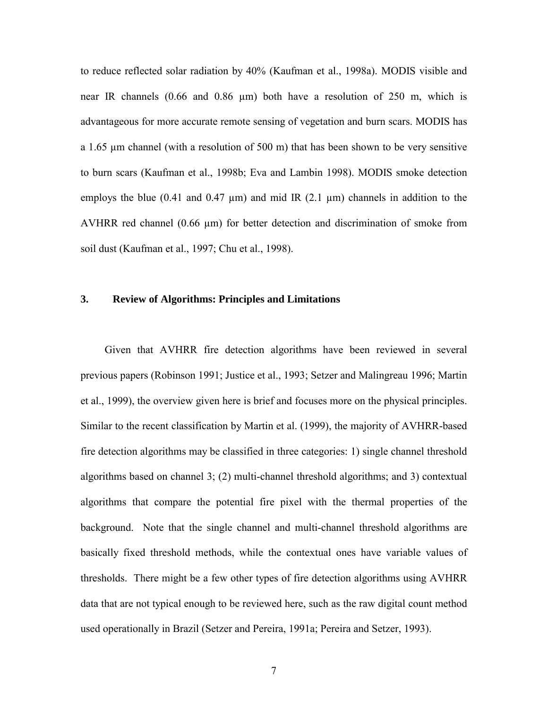to reduce reflected solar radiation by 40% (Kaufman et al., 1998a). MODIS visible and near IR channels  $(0.66$  and  $0.86 \mu m)$  both have a resolution of 250 m, which is advantageous for more accurate remote sensing of vegetation and burn scars. MODIS has a 1.65 µm channel (with a resolution of 500 m) that has been shown to be very sensitive to burn scars (Kaufman et al., 1998b; Eva and Lambin 1998). MODIS smoke detection employs the blue (0.41 and 0.47  $\mu$ m) and mid IR (2.1  $\mu$ m) channels in addition to the AVHRR red channel (0.66 µm) for better detection and discrimination of smoke from soil dust (Kaufman et al., 1997; Chu et al., 1998).

### **3. Review of Algorithms: Principles and Limitations**

Given that AVHRR fire detection algorithms have been reviewed in several previous papers (Robinson 1991; Justice et al., 1993; Setzer and Malingreau 1996; Martin et al., 1999), the overview given here is brief and focuses more on the physical principles. Similar to the recent classification by Martin et al. (1999), the majority of AVHRR-based fire detection algorithms may be classified in three categories: 1) single channel threshold algorithms based on channel 3; (2) multi-channel threshold algorithms; and 3) contextual algorithms that compare the potential fire pixel with the thermal properties of the background. Note that the single channel and multi-channel threshold algorithms are basically fixed threshold methods, while the contextual ones have variable values of thresholds. There might be a few other types of fire detection algorithms using AVHRR data that are not typical enough to be reviewed here, such as the raw digital count method used operationally in Brazil (Setzer and Pereira, 1991a; Pereira and Setzer, 1993).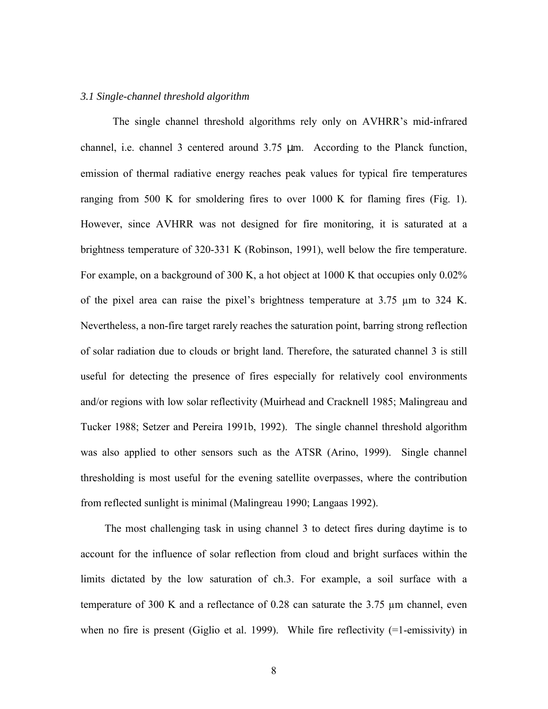#### *3.1 Single-channel threshold algorithm*

The single channel threshold algorithms rely only on AVHRR's mid-infrared channel, i.e. channel 3 centered around 3.75 µm. According to the Planck function, emission of thermal radiative energy reaches peak values for typical fire temperatures ranging from 500 K for smoldering fires to over 1000 K for flaming fires (Fig. 1). However, since AVHRR was not designed for fire monitoring, it is saturated at a brightness temperature of 320-331 K (Robinson, 1991), well below the fire temperature. For example, on a background of 300 K, a hot object at 1000 K that occupies only 0.02% of the pixel area can raise the pixel's brightness temperature at 3.75 µm to 324 K. Nevertheless, a non-fire target rarely reaches the saturation point, barring strong reflection of solar radiation due to clouds or bright land. Therefore, the saturated channel 3 is still useful for detecting the presence of fires especially for relatively cool environments and/or regions with low solar reflectivity (Muirhead and Cracknell 1985; Malingreau and Tucker 1988; Setzer and Pereira 1991b, 1992). The single channel threshold algorithm was also applied to other sensors such as the ATSR (Arino, 1999). Single channel thresholding is most useful for the evening satellite overpasses, where the contribution from reflected sunlight is minimal (Malingreau 1990; Langaas 1992).

The most challenging task in using channel 3 to detect fires during daytime is to account for the influence of solar reflection from cloud and bright surfaces within the limits dictated by the low saturation of ch.3. For example, a soil surface with a temperature of 300 K and a reflectance of 0.28 can saturate the 3.75 µm channel, even when no fire is present (Giglio et al. 1999). While fire reflectivity (=1-emissivity) in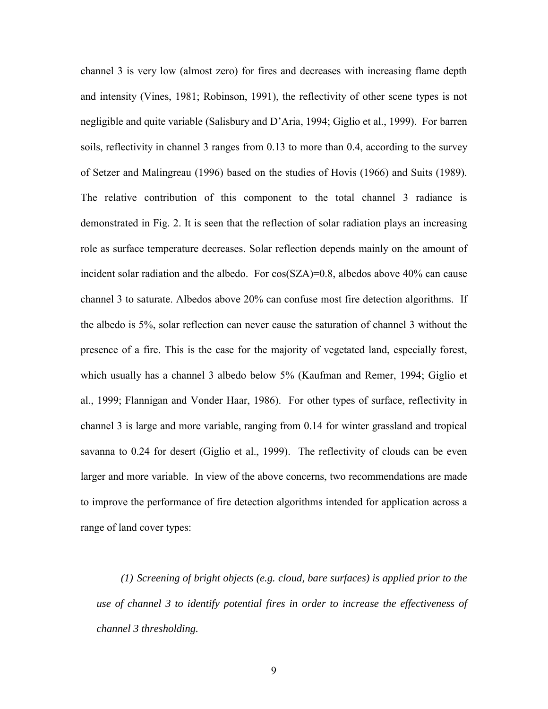channel 3 is very low (almost zero) for fires and decreases with increasing flame depth and intensity (Vines, 1981; Robinson, 1991), the reflectivity of other scene types is not negligible and quite variable (Salisbury and D'Aria, 1994; Giglio et al., 1999). For barren soils, reflectivity in channel 3 ranges from 0.13 to more than 0.4, according to the survey of Setzer and Malingreau (1996) based on the studies of Hovis (1966) and Suits (1989). The relative contribution of this component to the total channel 3 radiance is demonstrated in Fig. 2. It is seen that the reflection of solar radiation plays an increasing role as surface temperature decreases. Solar reflection depends mainly on the amount of incident solar radiation and the albedo. For  $cos(SZA)=0.8$ , albedos above 40% can cause channel 3 to saturate. Albedos above 20% can confuse most fire detection algorithms. If the albedo is 5%, solar reflection can never cause the saturation of channel 3 without the presence of a fire. This is the case for the majority of vegetated land, especially forest, which usually has a channel 3 albedo below 5% (Kaufman and Remer, 1994; Giglio et al., 1999; Flannigan and Vonder Haar, 1986). For other types of surface, reflectivity in channel 3 is large and more variable, ranging from 0.14 for winter grassland and tropical savanna to 0.24 for desert (Giglio et al., 1999). The reflectivity of clouds can be even larger and more variable. In view of the above concerns, two recommendations are made to improve the performance of fire detection algorithms intended for application across a range of land cover types:

*(1) Screening of bright objects (e.g. cloud, bare surfaces) is applied prior to the use of channel 3 to identify potential fires in order to increase the effectiveness of channel 3 thresholding.*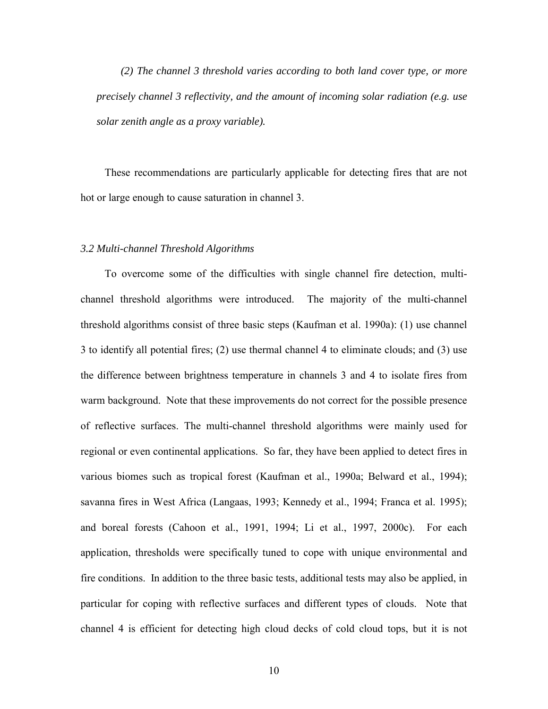*(2) The channel 3 threshold varies according to both land cover type, or more precisely channel 3 reflectivity, and the amount of incoming solar radiation (e.g. use solar zenith angle as a proxy variable).*

These recommendations are particularly applicable for detecting fires that are not hot or large enough to cause saturation in channel 3.

#### *3.2 Multi-channel Threshold Algorithms*

To overcome some of the difficulties with single channel fire detection, multichannel threshold algorithms were introduced. The majority of the multi-channel threshold algorithms consist of three basic steps (Kaufman et al. 1990a): (1) use channel 3 to identify all potential fires; (2) use thermal channel 4 to eliminate clouds; and (3) use the difference between brightness temperature in channels 3 and 4 to isolate fires from warm background. Note that these improvements do not correct for the possible presence of reflective surfaces. The multi-channel threshold algorithms were mainly used for regional or even continental applications. So far, they have been applied to detect fires in various biomes such as tropical forest (Kaufman et al., 1990a; Belward et al., 1994); savanna fires in West Africa (Langaas, 1993; Kennedy et al., 1994; Franca et al. 1995); and boreal forests (Cahoon et al., 1991, 1994; Li et al., 1997, 2000c). For each application, thresholds were specifically tuned to cope with unique environmental and fire conditions. In addition to the three basic tests, additional tests may also be applied, in particular for coping with reflective surfaces and different types of clouds. Note that channel 4 is efficient for detecting high cloud decks of cold cloud tops, but it is not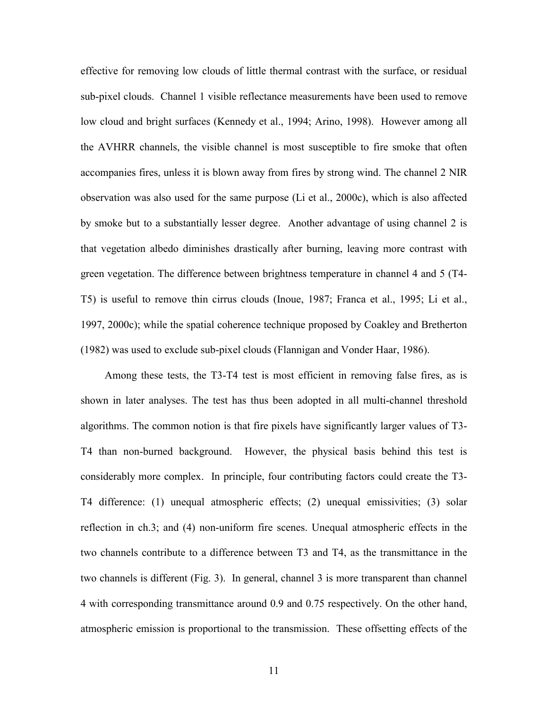effective for removing low clouds of little thermal contrast with the surface, or residual sub-pixel clouds. Channel 1 visible reflectance measurements have been used to remove low cloud and bright surfaces (Kennedy et al., 1994; Arino, 1998). However among all the AVHRR channels, the visible channel is most susceptible to fire smoke that often accompanies fires, unless it is blown away from fires by strong wind. The channel 2 NIR observation was also used for the same purpose (Li et al., 2000c), which is also affected by smoke but to a substantially lesser degree. Another advantage of using channel 2 is that vegetation albedo diminishes drastically after burning, leaving more contrast with green vegetation. The difference between brightness temperature in channel 4 and 5 (T4- T5) is useful to remove thin cirrus clouds (Inoue, 1987; Franca et al., 1995; Li et al., 1997, 2000c); while the spatial coherence technique proposed by Coakley and Bretherton (1982) was used to exclude sub-pixel clouds (Flannigan and Vonder Haar, 1986).

Among these tests, the T3-T4 test is most efficient in removing false fires, as is shown in later analyses. The test has thus been adopted in all multi-channel threshold algorithms. The common notion is that fire pixels have significantly larger values of T3- T4 than non-burned background. However, the physical basis behind this test is considerably more complex. In principle, four contributing factors could create the T3- T4 difference: (1) unequal atmospheric effects; (2) unequal emissivities; (3) solar reflection in ch.3; and (4) non-uniform fire scenes. Unequal atmospheric effects in the two channels contribute to a difference between T3 and T4, as the transmittance in the two channels is different (Fig. 3). In general, channel 3 is more transparent than channel 4 with corresponding transmittance around 0.9 and 0.75 respectively. On the other hand, atmospheric emission is proportional to the transmission. These offsetting effects of the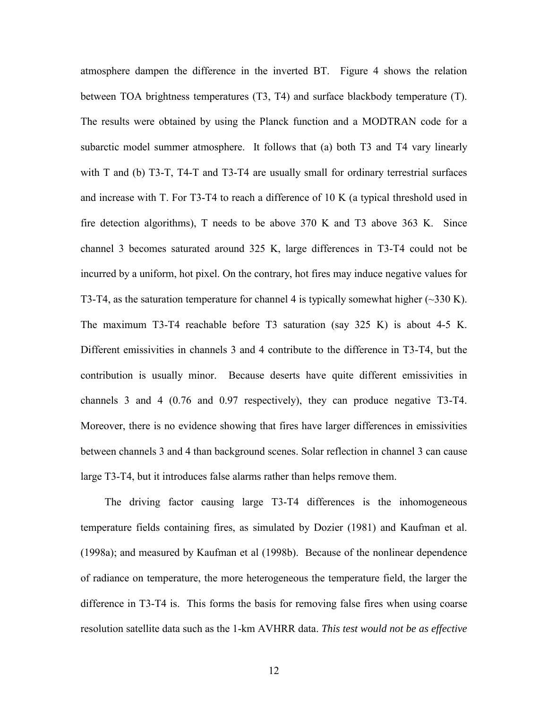atmosphere dampen the difference in the inverted BT. Figure 4 shows the relation between TOA brightness temperatures (T3, T4) and surface blackbody temperature (T). The results were obtained by using the Planck function and a MODTRAN code for a subarctic model summer atmosphere. It follows that (a) both T3 and T4 vary linearly with T and (b) T3-T, T4-T and T3-T4 are usually small for ordinary terrestrial surfaces and increase with T. For T3-T4 to reach a difference of 10 K (a typical threshold used in fire detection algorithms), T needs to be above 370 K and T3 above 363 K. Since channel 3 becomes saturated around 325 K, large differences in T3-T4 could not be incurred by a uniform, hot pixel. On the contrary, hot fires may induce negative values for T3-T4, as the saturation temperature for channel 4 is typically somewhat higher  $(\sim 330 \text{ K})$ . The maximum T3-T4 reachable before T3 saturation (say 325 K) is about 4-5 K. Different emissivities in channels 3 and 4 contribute to the difference in T3-T4, but the contribution is usually minor. Because deserts have quite different emissivities in channels 3 and 4 (0.76 and 0.97 respectively), they can produce negative T3-T4. Moreover, there is no evidence showing that fires have larger differences in emissivities between channels 3 and 4 than background scenes. Solar reflection in channel 3 can cause large T3-T4, but it introduces false alarms rather than helps remove them.

The driving factor causing large T3-T4 differences is the inhomogeneous temperature fields containing fires, as simulated by Dozier (1981) and Kaufman et al. (1998a); and measured by Kaufman et al (1998b). Because of the nonlinear dependence of radiance on temperature, the more heterogeneous the temperature field, the larger the difference in T3-T4 is. This forms the basis for removing false fires when using coarse resolution satellite data such as the 1-km AVHRR data. *This test would not be as effective*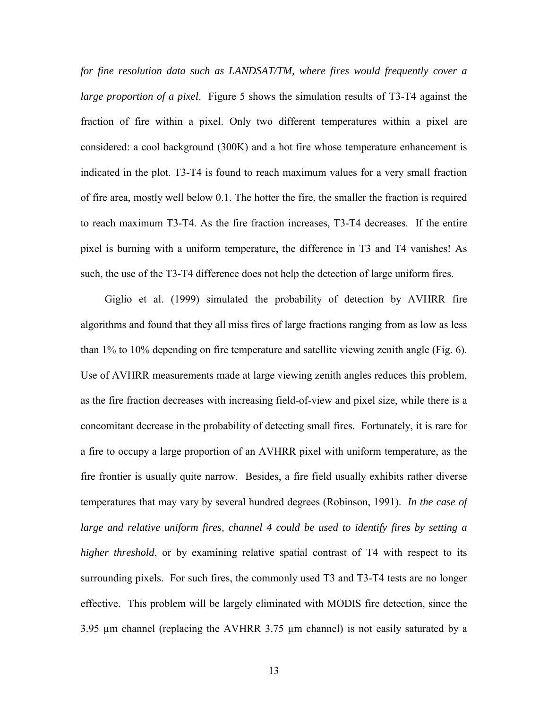*for fine resolution data such as LANDSAT/TM, where fires would frequently cover a large proportion of a pixel*. Figure 5 shows the simulation results of T3-T4 against the fraction of fire within a pixel. Only two different temperatures within a pixel are considered: a cool background (300K) and a hot fire whose temperature enhancement is indicated in the plot. T3-T4 is found to reach maximum values for a very small fraction of fire area, mostly well below 0.1. The hotter the fire, the smaller the fraction is required to reach maximum T3-T4. As the fire fraction increases, T3-T4 decreases. If the entire pixel is burning with a uniform temperature, the difference in T3 and T4 vanishes! As such, the use of the T3-T4 difference does not help the detection of large uniform fires.

Giglio et al. (1999) simulated the probability of detection by AVHRR fire algorithms and found that they all miss fires of large fractions ranging from as low as less than 1% to 10% depending on fire temperature and satellite viewing zenith angle (Fig. 6). Use of AVHRR measurements made at large viewing zenith angles reduces this problem, as the fire fraction decreases with increasing field-of-view and pixel size, while there is a concomitant decrease in the probability of detecting small fires. Fortunately, it is rare for a fire to occupy a large proportion of an AVHRR pixel with uniform temperature, as the fire frontier is usually quite narrow. Besides, a fire field usually exhibits rather diverse temperatures that may vary by several hundred degrees (Robinson, 1991). *In the case of large and relative uniform fires, channel 4 could be used to identify fires by setting a higher threshold*, or by examining relative spatial contrast of T4 with respect to its surrounding pixels. For such fires, the commonly used T3 and T3-T4 tests are no longer effective. This problem will be largely eliminated with MODIS fire detection, since the 3.95 µm channel (replacing the AVHRR 3.75 µm channel) is not easily saturated by a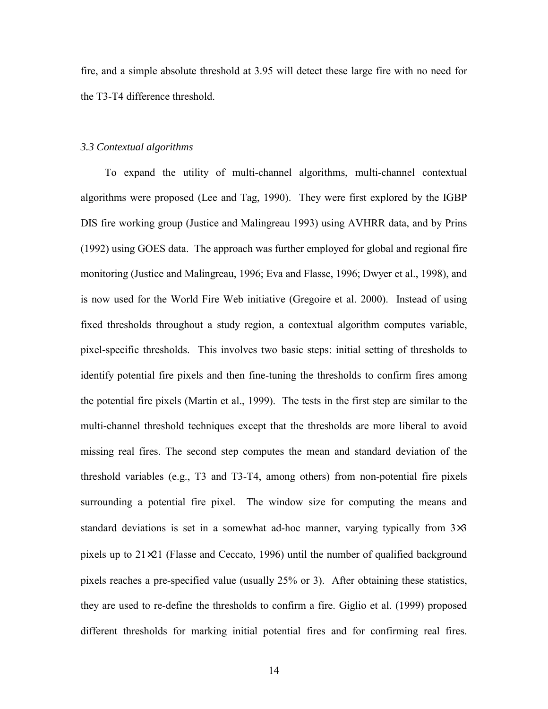fire, and a simple absolute threshold at 3.95 will detect these large fire with no need for the T3-T4 difference threshold.

#### *3.3 Contextual algorithms*

To expand the utility of multi-channel algorithms, multi-channel contextual algorithms were proposed (Lee and Tag, 1990). They were first explored by the IGBP DIS fire working group (Justice and Malingreau 1993) using AVHRR data, and by Prins (1992) using GOES data. The approach was further employed for global and regional fire monitoring (Justice and Malingreau, 1996; Eva and Flasse, 1996; Dwyer et al., 1998), and is now used for the World Fire Web initiative (Gregoire et al. 2000). Instead of using fixed thresholds throughout a study region, a contextual algorithm computes variable, pixel-specific thresholds. This involves two basic steps: initial setting of thresholds to identify potential fire pixels and then fine-tuning the thresholds to confirm fires among the potential fire pixels (Martin et al., 1999). The tests in the first step are similar to the multi-channel threshold techniques except that the thresholds are more liberal to avoid missing real fires. The second step computes the mean and standard deviation of the threshold variables (e.g., T3 and T3-T4, among others) from non-potential fire pixels surrounding a potential fire pixel. The window size for computing the means and standard deviations is set in a somewhat ad-hoc manner, varying typically from  $3\times3$ pixels up to 21×21 (Flasse and Ceccato, 1996) until the number of qualified background pixels reaches a pre-specified value (usually 25% or 3). After obtaining these statistics, they are used to re-define the thresholds to confirm a fire. Giglio et al. (1999) proposed different thresholds for marking initial potential fires and for confirming real fires.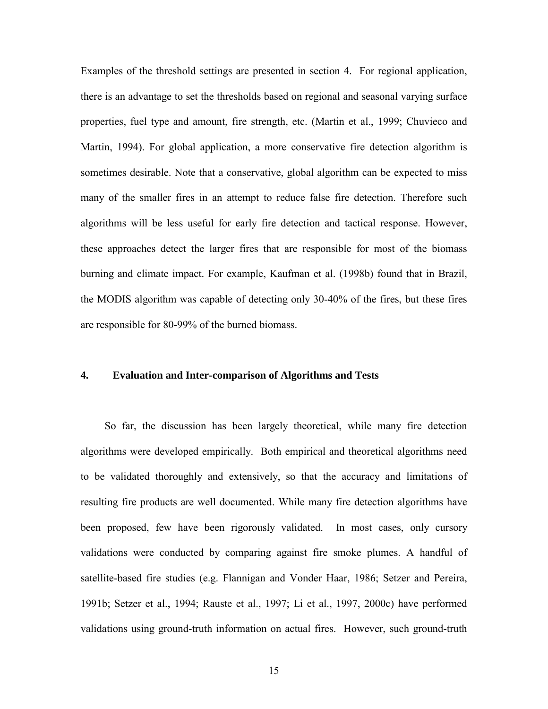Examples of the threshold settings are presented in section 4. For regional application, there is an advantage to set the thresholds based on regional and seasonal varying surface properties, fuel type and amount, fire strength, etc. (Martin et al., 1999; Chuvieco and Martin, 1994). For global application, a more conservative fire detection algorithm is sometimes desirable. Note that a conservative, global algorithm can be expected to miss many of the smaller fires in an attempt to reduce false fire detection. Therefore such algorithms will be less useful for early fire detection and tactical response. However, these approaches detect the larger fires that are responsible for most of the biomass burning and climate impact. For example, Kaufman et al. (1998b) found that in Brazil, the MODIS algorithm was capable of detecting only 30-40% of the fires, but these fires are responsible for 80-99% of the burned biomass.

# **4. Evaluation and Inter-comparison of Algorithms and Tests**

So far, the discussion has been largely theoretical, while many fire detection algorithms were developed empirically. Both empirical and theoretical algorithms need to be validated thoroughly and extensively, so that the accuracy and limitations of resulting fire products are well documented. While many fire detection algorithms have been proposed, few have been rigorously validated. In most cases, only cursory validations were conducted by comparing against fire smoke plumes. A handful of satellite-based fire studies (e.g. Flannigan and Vonder Haar, 1986; Setzer and Pereira, 1991b; Setzer et al., 1994; Rauste et al., 1997; Li et al., 1997, 2000c) have performed validations using ground-truth information on actual fires. However, such ground-truth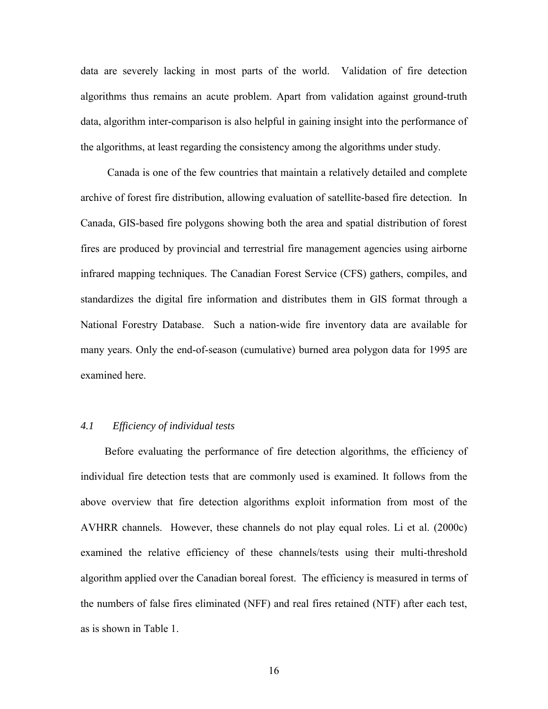data are severely lacking in most parts of the world. Validation of fire detection algorithms thus remains an acute problem. Apart from validation against ground-truth data, algorithm inter-comparison is also helpful in gaining insight into the performance of the algorithms, at least regarding the consistency among the algorithms under study.

 Canada is one of the few countries that maintain a relatively detailed and complete archive of forest fire distribution, allowing evaluation of satellite-based fire detection. In Canada, GIS-based fire polygons showing both the area and spatial distribution of forest fires are produced by provincial and terrestrial fire management agencies using airborne infrared mapping techniques. The Canadian Forest Service (CFS) gathers, compiles, and standardizes the digital fire information and distributes them in GIS format through a National Forestry Database. Such a nation-wide fire inventory data are available for many years. Only the end-of-season (cumulative) burned area polygon data for 1995 are examined here.

# *4.1 Efficiency of individual tests*

Before evaluating the performance of fire detection algorithms, the efficiency of individual fire detection tests that are commonly used is examined. It follows from the above overview that fire detection algorithms exploit information from most of the AVHRR channels. However, these channels do not play equal roles. Li et al. (2000c) examined the relative efficiency of these channels/tests using their multi-threshold algorithm applied over the Canadian boreal forest. The efficiency is measured in terms of the numbers of false fires eliminated (NFF) and real fires retained (NTF) after each test, as is shown in Table 1.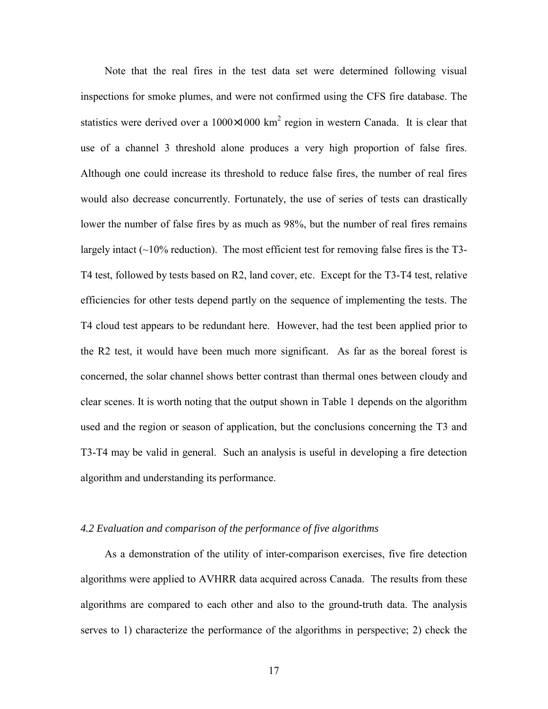Note that the real fires in the test data set were determined following visual inspections for smoke plumes, and were not confirmed using the CFS fire database. The statistics were derived over a  $1000 \times 1000$  km<sup>2</sup> region in western Canada. It is clear that use of a channel 3 threshold alone produces a very high proportion of false fires. Although one could increase its threshold to reduce false fires, the number of real fires would also decrease concurrently. Fortunately, the use of series of tests can drastically lower the number of false fires by as much as 98%, but the number of real fires remains largely intact  $(\sim 10\%$  reduction). The most efficient test for removing false fires is the T3-T4 test, followed by tests based on R2, land cover, etc. Except for the T3-T4 test, relative efficiencies for other tests depend partly on the sequence of implementing the tests. The T4 cloud test appears to be redundant here. However, had the test been applied prior to the R2 test, it would have been much more significant. As far as the boreal forest is concerned, the solar channel shows better contrast than thermal ones between cloudy and clear scenes. It is worth noting that the output shown in Table 1 depends on the algorithm used and the region or season of application, but the conclusions concerning the T3 and T3-T4 may be valid in general. Such an analysis is useful in developing a fire detection algorithm and understanding its performance.

# *4.2 Evaluation and comparison of the performance of five algorithms*

As a demonstration of the utility of inter-comparison exercises, five fire detection algorithms were applied to AVHRR data acquired across Canada. The results from these algorithms are compared to each other and also to the ground-truth data. The analysis serves to 1) characterize the performance of the algorithms in perspective; 2) check the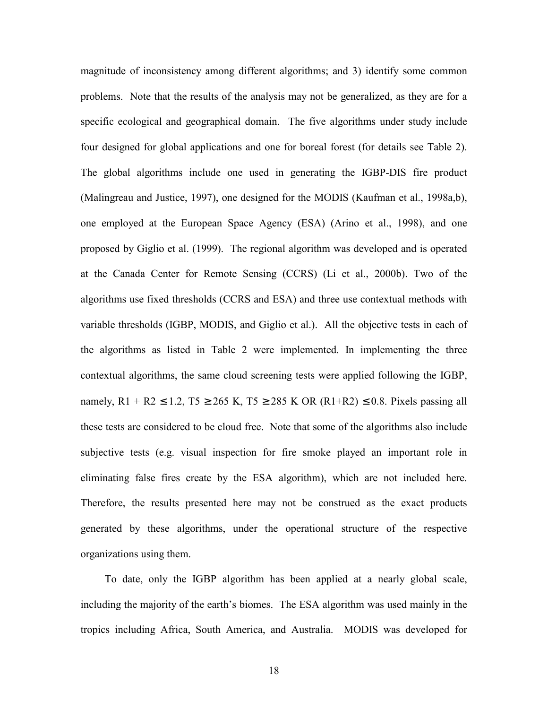magnitude of inconsistency among different algorithms; and 3) identify some common problems. Note that the results of the analysis may not be generalized, as they are for a specific ecological and geographical domain. The five algorithms under study include four designed for global applications and one for boreal forest (for details see Table 2). The global algorithms include one used in generating the IGBP-DIS fire product (Malingreau and Justice, 1997), one designed for the MODIS (Kaufman et al., 1998a,b), one employed at the European Space Agency (ESA) (Arino et al., 1998), and one proposed by Giglio et al. (1999). The regional algorithm was developed and is operated at the Canada Center for Remote Sensing (CCRS) (Li et al., 2000b). Two of the algorithms use fixed thresholds (CCRS and ESA) and three use contextual methods with variable thresholds (IGBP, MODIS, and Giglio et al.). All the objective tests in each of the algorithms as listed in Table 2 were implemented. In implementing the three contextual algorithms, the same cloud screening tests were applied following the IGBP, namely, R1 + R2 ≤ 1.2, T5 ≥ 265 K, T5 ≥ 285 K OR (R1+R2) ≤ 0.8. Pixels passing all these tests are considered to be cloud free. Note that some of the algorithms also include subjective tests (e.g. visual inspection for fire smoke played an important role in eliminating false fires create by the ESA algorithm), which are not included here. Therefore, the results presented here may not be construed as the exact products generated by these algorithms, under the operational structure of the respective organizations using them.

To date, only the IGBP algorithm has been applied at a nearly global scale, including the majority of the earth's biomes. The ESA algorithm was used mainly in the tropics including Africa, South America, and Australia. MODIS was developed for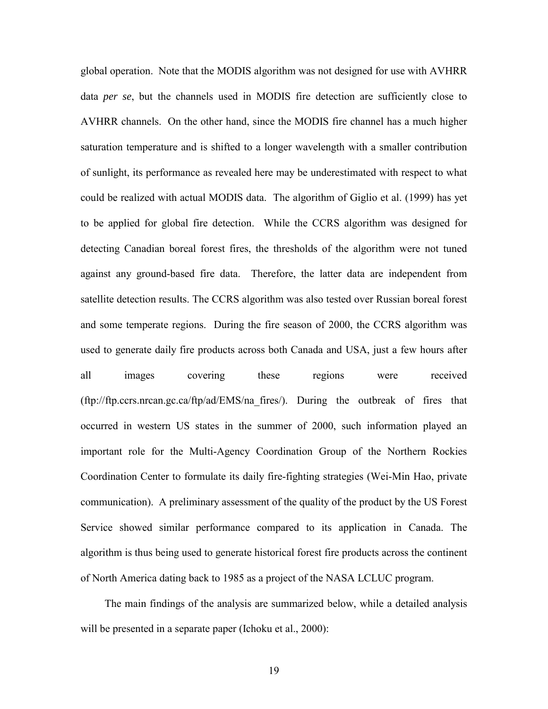global operation. Note that the MODIS algorithm was not designed for use with AVHRR data *per se*, but the channels used in MODIS fire detection are sufficiently close to AVHRR channels. On the other hand, since the MODIS fire channel has a much higher saturation temperature and is shifted to a longer wavelength with a smaller contribution of sunlight, its performance as revealed here may be underestimated with respect to what could be realized with actual MODIS data. The algorithm of Giglio et al. (1999) has yet to be applied for global fire detection. While the CCRS algorithm was designed for detecting Canadian boreal forest fires, the thresholds of the algorithm were not tuned against any ground-based fire data. Therefore, the latter data are independent from satellite detection results. The CCRS algorithm was also tested over Russian boreal forest and some temperate regions. During the fire season of 2000, the CCRS algorithm was used to generate daily fire products across both Canada and USA, just a few hours after all images covering these regions were received (ftp://ftp.ccrs.nrcan.gc.ca/ftp/ad/EMS/na\_fires/). During the outbreak of fires that occurred in western US states in the summer of 2000, such information played an important role for the Multi-Agency Coordination Group of the Northern Rockies Coordination Center to formulate its daily fire-fighting strategies (Wei-Min Hao, private communication). A preliminary assessment of the quality of the product by the US Forest Service showed similar performance compared to its application in Canada. The algorithm is thus being used to generate historical forest fire products across the continent of North America dating back to 1985 as a project of the NASA LCLUC program.

The main findings of the analysis are summarized below, while a detailed analysis will be presented in a separate paper (Ichoku et al., 2000):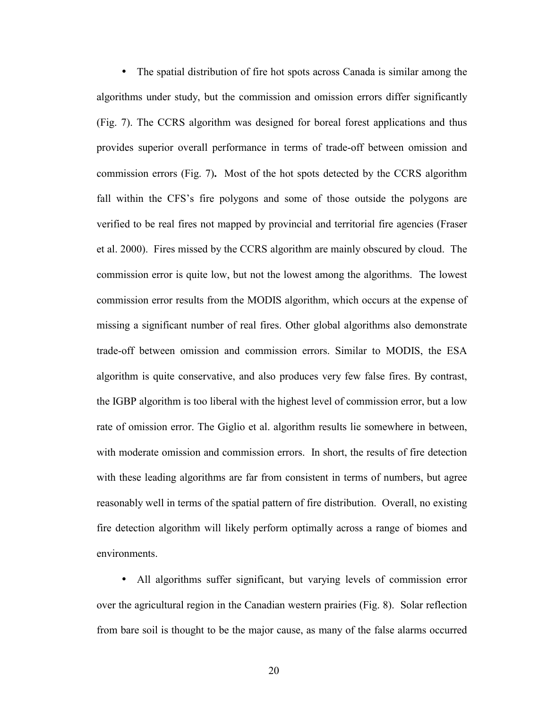• The spatial distribution of fire hot spots across Canada is similar among the algorithms under study, but the commission and omission errors differ significantly (Fig. 7). The CCRS algorithm was designed for boreal forest applications and thus provides superior overall performance in terms of trade-off between omission and commission errors (Fig. 7)**.** Most of the hot spots detected by the CCRS algorithm fall within the CFS's fire polygons and some of those outside the polygons are verified to be real fires not mapped by provincial and territorial fire agencies (Fraser et al. 2000). Fires missed by the CCRS algorithm are mainly obscured by cloud. The commission error is quite low, but not the lowest among the algorithms. The lowest commission error results from the MODIS algorithm, which occurs at the expense of missing a significant number of real fires. Other global algorithms also demonstrate trade-off between omission and commission errors. Similar to MODIS, the ESA algorithm is quite conservative, and also produces very few false fires. By contrast, the IGBP algorithm is too liberal with the highest level of commission error, but a low rate of omission error. The Giglio et al. algorithm results lie somewhere in between, with moderate omission and commission errors. In short, the results of fire detection with these leading algorithms are far from consistent in terms of numbers, but agree reasonably well in terms of the spatial pattern of fire distribution. Overall, no existing fire detection algorithm will likely perform optimally across a range of biomes and environments.

• All algorithms suffer significant, but varying levels of commission error over the agricultural region in the Canadian western prairies (Fig. 8). Solar reflection from bare soil is thought to be the major cause, as many of the false alarms occurred

20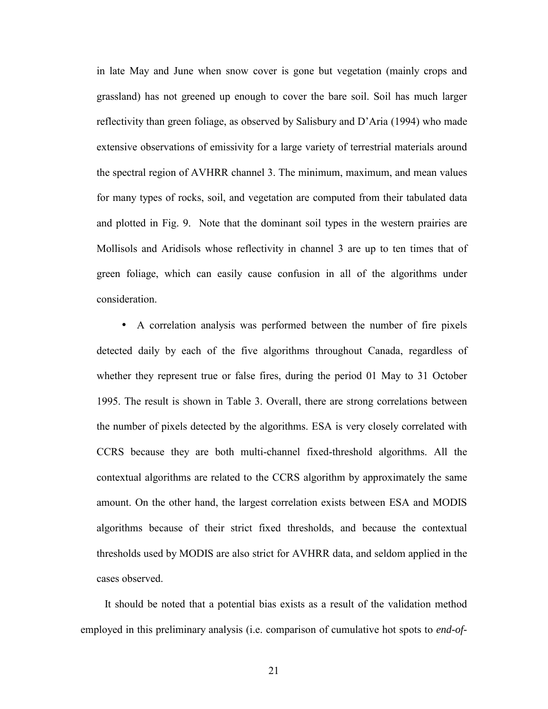in late May and June when snow cover is gone but vegetation (mainly crops and grassland) has not greened up enough to cover the bare soil. Soil has much larger reflectivity than green foliage, as observed by Salisbury and D'Aria (1994) who made extensive observations of emissivity for a large variety of terrestrial materials around the spectral region of AVHRR channel 3. The minimum, maximum, and mean values for many types of rocks, soil, and vegetation are computed from their tabulated data and plotted in Fig. 9. Note that the dominant soil types in the western prairies are Mollisols and Aridisols whose reflectivity in channel 3 are up to ten times that of green foliage, which can easily cause confusion in all of the algorithms under consideration.

• A correlation analysis was performed between the number of fire pixels detected daily by each of the five algorithms throughout Canada, regardless of whether they represent true or false fires, during the period 01 May to 31 October 1995. The result is shown in Table 3. Overall, there are strong correlations between the number of pixels detected by the algorithms. ESA is very closely correlated with CCRS because they are both multi-channel fixed-threshold algorithms. All the contextual algorithms are related to the CCRS algorithm by approximately the same amount. On the other hand, the largest correlation exists between ESA and MODIS algorithms because of their strict fixed thresholds, and because the contextual thresholds used by MODIS are also strict for AVHRR data, and seldom applied in the cases observed.

It should be noted that a potential bias exists as a result of the validation method employed in this preliminary analysis (i.e. comparison of cumulative hot spots to *end-of-*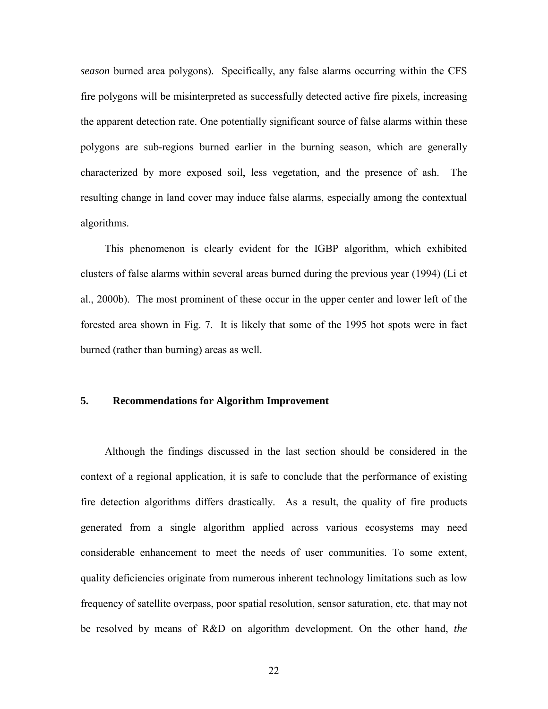*season* burned area polygons). Specifically, any false alarms occurring within the CFS fire polygons will be misinterpreted as successfully detected active fire pixels, increasing the apparent detection rate. One potentially significant source of false alarms within these polygons are sub-regions burned earlier in the burning season, which are generally characterized by more exposed soil, less vegetation, and the presence of ash. The resulting change in land cover may induce false alarms, especially among the contextual algorithms.

This phenomenon is clearly evident for the IGBP algorithm, which exhibited clusters of false alarms within several areas burned during the previous year (1994) (Li et al., 2000b). The most prominent of these occur in the upper center and lower left of the forested area shown in Fig. 7. It is likely that some of the 1995 hot spots were in fact burned (rather than burning) areas as well.

# **5. Recommendations for Algorithm Improvement**

Although the findings discussed in the last section should be considered in the context of a regional application, it is safe to conclude that the performance of existing fire detection algorithms differs drastically. As a result, the quality of fire products generated from a single algorithm applied across various ecosystems may need considerable enhancement to meet the needs of user communities. To some extent, quality deficiencies originate from numerous inherent technology limitations such as low frequency of satellite overpass, poor spatial resolution, sensor saturation, etc. that may not be resolved by means of R&D on algorithm development. On the other hand, *the*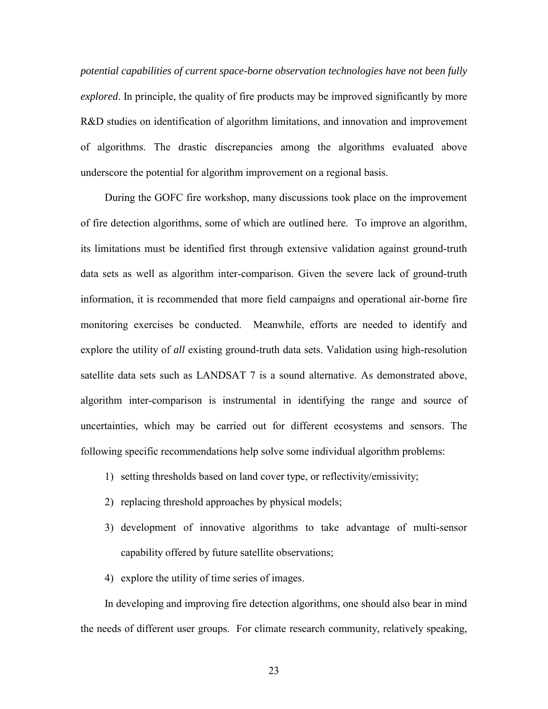*potential capabilities of current space-borne observation technologies have not been fully explored*. In principle, the quality of fire products may be improved significantly by more R&D studies on identification of algorithm limitations, and innovation and improvement of algorithms. The drastic discrepancies among the algorithms evaluated above underscore the potential for algorithm improvement on a regional basis.

During the GOFC fire workshop, many discussions took place on the improvement of fire detection algorithms, some of which are outlined here. To improve an algorithm, its limitations must be identified first through extensive validation against ground-truth data sets as well as algorithm inter-comparison. Given the severe lack of ground-truth information, it is recommended that more field campaigns and operational air-borne fire monitoring exercises be conducted. Meanwhile, efforts are needed to identify and explore the utility of *all* existing ground-truth data sets. Validation using high-resolution satellite data sets such as LANDSAT 7 is a sound alternative. As demonstrated above, algorithm inter-comparison is instrumental in identifying the range and source of uncertainties, which may be carried out for different ecosystems and sensors. The following specific recommendations help solve some individual algorithm problems:

- 1) setting thresholds based on land cover type, or reflectivity/emissivity;
- 2) replacing threshold approaches by physical models;
- 3) development of innovative algorithms to take advantage of multi-sensor capability offered by future satellite observations;
- 4) explore the utility of time series of images.

In developing and improving fire detection algorithms, one should also bear in mind the needs of different user groups. For climate research community, relatively speaking,

23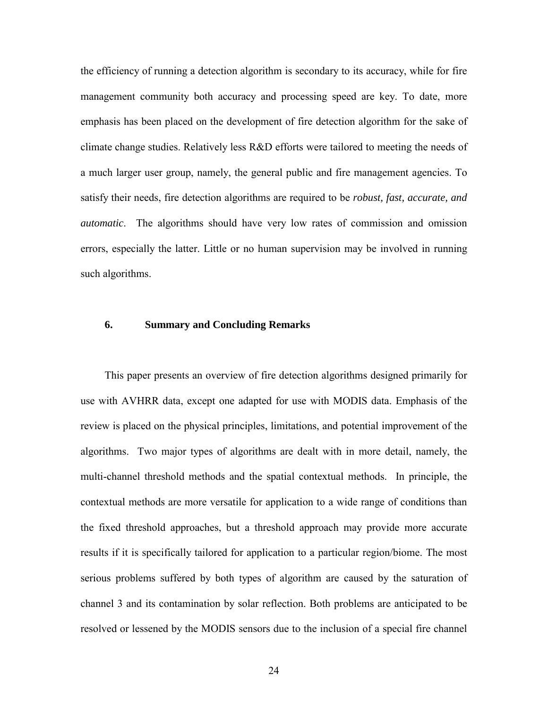the efficiency of running a detection algorithm is secondary to its accuracy, while for fire management community both accuracy and processing speed are key. To date, more emphasis has been placed on the development of fire detection algorithm for the sake of climate change studies. Relatively less R&D efforts were tailored to meeting the needs of a much larger user group, namely, the general public and fire management agencies. To satisfy their needs, fire detection algorithms are required to be *robust, fast, accurate, and automatic*. The algorithms should have very low rates of commission and omission errors, especially the latter. Little or no human supervision may be involved in running such algorithms.

# **6. Summary and Concluding Remarks**

This paper presents an overview of fire detection algorithms designed primarily for use with AVHRR data, except one adapted for use with MODIS data. Emphasis of the review is placed on the physical principles, limitations, and potential improvement of the algorithms. Two major types of algorithms are dealt with in more detail, namely, the multi-channel threshold methods and the spatial contextual methods. In principle, the contextual methods are more versatile for application to a wide range of conditions than the fixed threshold approaches, but a threshold approach may provide more accurate results if it is specifically tailored for application to a particular region/biome. The most serious problems suffered by both types of algorithm are caused by the saturation of channel 3 and its contamination by solar reflection. Both problems are anticipated to be resolved or lessened by the MODIS sensors due to the inclusion of a special fire channel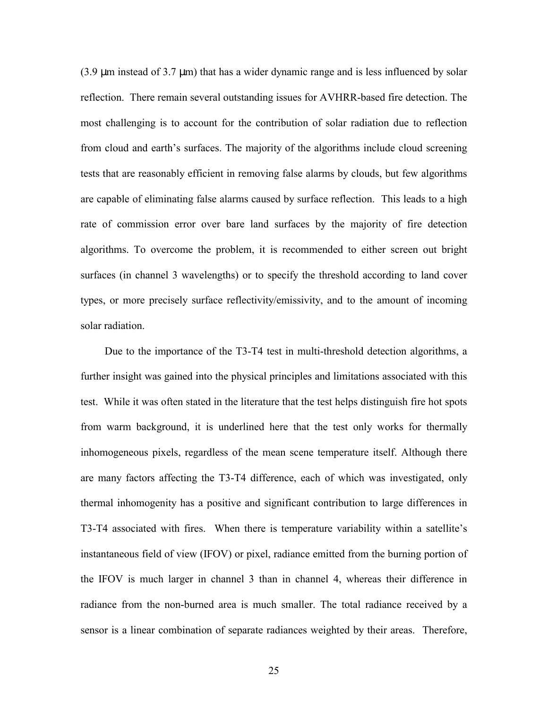$(3.9 \mu m)$  instead of 3.7  $\mu$ m) that has a wider dynamic range and is less influenced by solar reflection. There remain several outstanding issues for AVHRR-based fire detection. The most challenging is to account for the contribution of solar radiation due to reflection from cloud and earth's surfaces. The majority of the algorithms include cloud screening tests that are reasonably efficient in removing false alarms by clouds, but few algorithms are capable of eliminating false alarms caused by surface reflection. This leads to a high rate of commission error over bare land surfaces by the majority of fire detection algorithms. To overcome the problem, it is recommended to either screen out bright surfaces (in channel 3 wavelengths) or to specify the threshold according to land cover types, or more precisely surface reflectivity/emissivity, and to the amount of incoming solar radiation.

Due to the importance of the T3-T4 test in multi-threshold detection algorithms, a further insight was gained into the physical principles and limitations associated with this test. While it was often stated in the literature that the test helps distinguish fire hot spots from warm background, it is underlined here that the test only works for thermally inhomogeneous pixels, regardless of the mean scene temperature itself. Although there are many factors affecting the T3-T4 difference, each of which was investigated, only thermal inhomogenity has a positive and significant contribution to large differences in T3-T4 associated with fires. When there is temperature variability within a satellite's instantaneous field of view (IFOV) or pixel, radiance emitted from the burning portion of the IFOV is much larger in channel 3 than in channel 4, whereas their difference in radiance from the non-burned area is much smaller. The total radiance received by a sensor is a linear combination of separate radiances weighted by their areas. Therefore,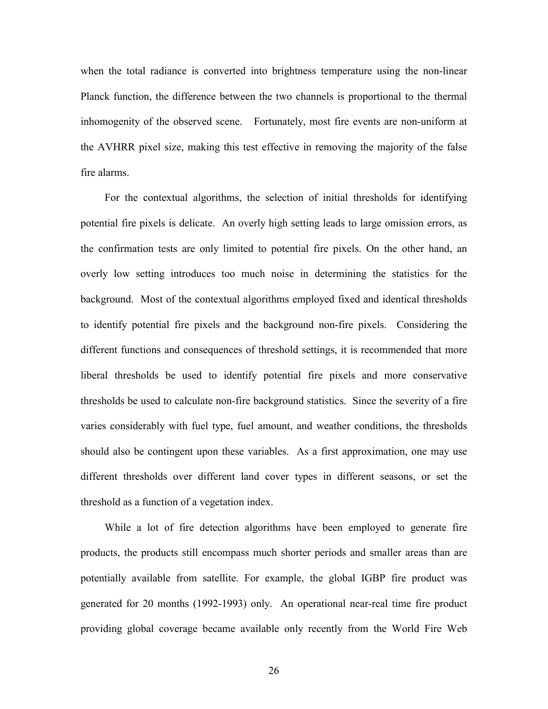when the total radiance is converted into brightness temperature using the non-linear Planck function, the difference between the two channels is proportional to the thermal inhomogenity of the observed scene. Fortunately, most fire events are non-uniform at the AVHRR pixel size, making this test effective in removing the majority of the false fire alarms.

For the contextual algorithms, the selection of initial thresholds for identifying potential fire pixels is delicate. An overly high setting leads to large omission errors, as the confirmation tests are only limited to potential fire pixels. On the other hand, an overly low setting introduces too much noise in determining the statistics for the background. Most of the contextual algorithms employed fixed and identical thresholds to identify potential fire pixels and the background non-fire pixels. Considering the different functions and consequences of threshold settings, it is recommended that more liberal thresholds be used to identify potential fire pixels and more conservative thresholds be used to calculate non-fire background statistics. Since the severity of a fire varies considerably with fuel type, fuel amount, and weather conditions, the thresholds should also be contingent upon these variables. As a first approximation*,* one may use different thresholds over different land cover types in different seasons, or set the threshold as a function of a vegetation index.

While a lot of fire detection algorithms have been employed to generate fire products, the products still encompass much shorter periods and smaller areas than are potentially available from satellite. For example, the global IGBP fire product was generated for 20 months (1992-1993) only. An operational near-real time fire product providing global coverage became available only recently from the World Fire Web

26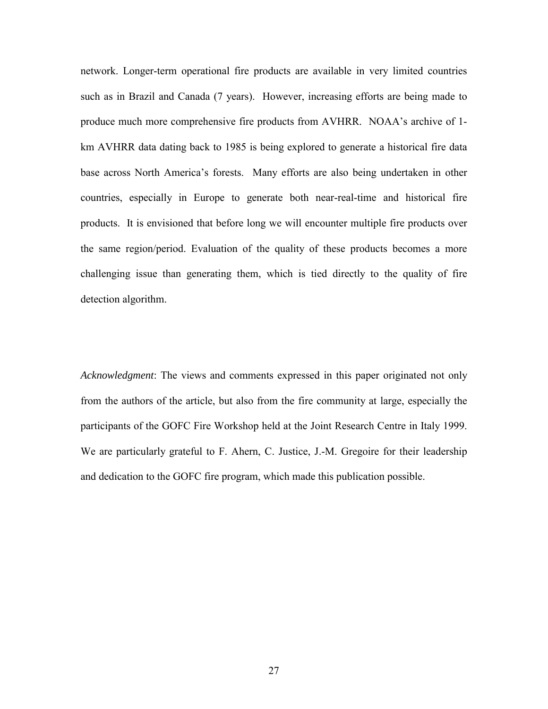network. Longer-term operational fire products are available in very limited countries such as in Brazil and Canada (7 years). However, increasing efforts are being made to produce much more comprehensive fire products from AVHRR. NOAA's archive of 1 km AVHRR data dating back to 1985 is being explored to generate a historical fire data base across North America's forests. Many efforts are also being undertaken in other countries, especially in Europe to generate both near-real-time and historical fire products. It is envisioned that before long we will encounter multiple fire products over the same region/period. Evaluation of the quality of these products becomes a more challenging issue than generating them, which is tied directly to the quality of fire detection algorithm.

*Acknowledgment*: The views and comments expressed in this paper originated not only from the authors of the article, but also from the fire community at large, especially the participants of the GOFC Fire Workshop held at the Joint Research Centre in Italy 1999. We are particularly grateful to F. Ahern, C. Justice, J.-M. Gregoire for their leadership and dedication to the GOFC fire program, which made this publication possible.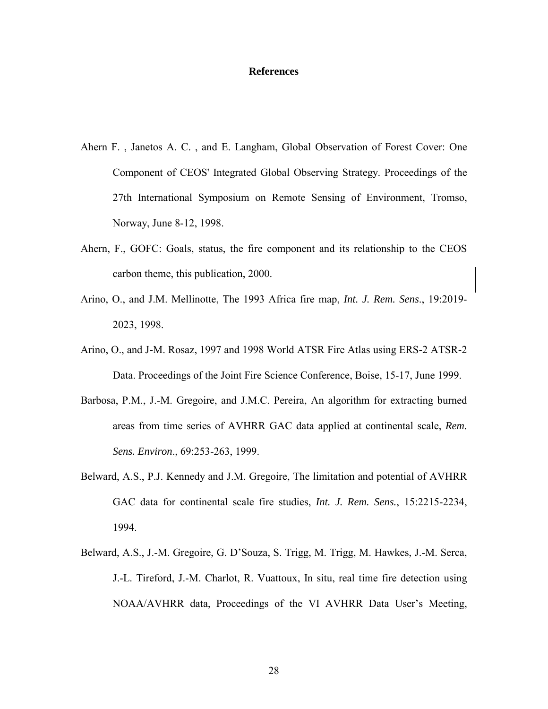#### **References**

- Ahern F. , Janetos A. C. , and E. Langham, Global Observation of Forest Cover: One Component of CEOS' Integrated Global Observing Strategy. Proceedings of the 27th International Symposium on Remote Sensing of Environment, Tromso, Norway, June 8-12, 1998.
- Ahern, F., GOFC: Goals, status, the fire component and its relationship to the CEOS carbon theme, this publication, 2000.
- Arino, O., and J.M. Mellinotte, The 1993 Africa fire map, *Int. J. Rem. Sens*., 19:2019- 2023, 1998.
- Arino, O., and J-M. Rosaz, 1997 and 1998 World ATSR Fire Atlas using ERS-2 ATSR-2 Data. Proceedings of the Joint Fire Science Conference, Boise, 15-17, June 1999.
- Barbosa, P.M., J.-M. Gregoire, and J.M.C. Pereira, An algorithm for extracting burned areas from time series of AVHRR GAC data applied at continental scale, *Rem. Sens. Environ*., 69:253-263, 1999.
- Belward, A.S., P.J. Kennedy and J.M. Gregoire, The limitation and potential of AVHRR GAC data for continental scale fire studies, *Int. J. Rem. Sens.*, 15:2215-2234, 1994.
- Belward, A.S., J.-M. Gregoire, G. D'Souza, S. Trigg, M. Trigg, M. Hawkes, J.-M. Serca, J.-L. Tireford, J.-M. Charlot, R. Vuattoux, In situ, real time fire detection using NOAA/AVHRR data, Proceedings of the VI AVHRR Data User's Meeting,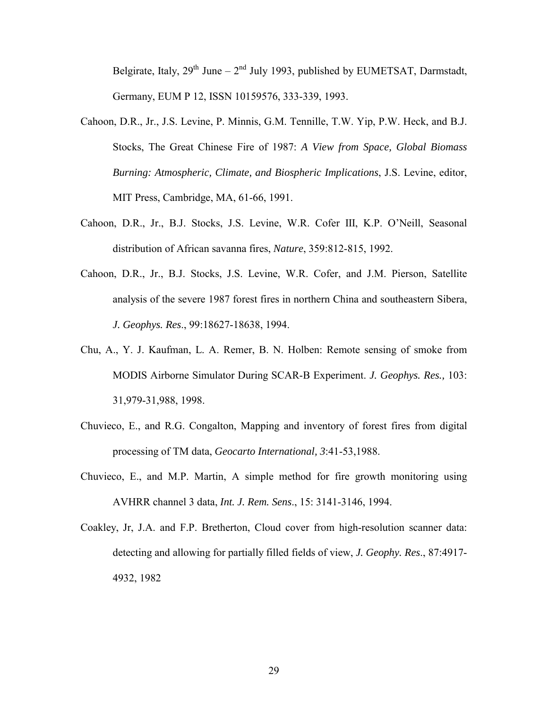Belgirate, Italy,  $29^{th}$  June –  $2^{nd}$  July 1993, published by EUMETSAT, Darmstadt, Germany, EUM P 12, ISSN 10159576, 333-339, 1993.

- Cahoon, D.R., Jr., J.S. Levine, P. Minnis, G.M. Tennille, T.W. Yip, P.W. Heck, and B.J. Stocks, The Great Chinese Fire of 1987: *A View from Space, Global Biomass Burning: Atmospheric, Climate, and Biospheric Implications*, J.S. Levine, editor, MIT Press, Cambridge, MA, 61-66, 1991.
- Cahoon, D.R., Jr., B.J. Stocks, J.S. Levine, W.R. Cofer III, K.P. O'Neill, Seasonal distribution of African savanna fires, *Nature*, 359:812-815, 1992.
- Cahoon, D.R., Jr., B.J. Stocks, J.S. Levine, W.R. Cofer, and J.M. Pierson, Satellite analysis of the severe 1987 forest fires in northern China and southeastern Sibera, *J. Geophys. Res*., 99:18627-18638, 1994.
- Chu, A., Y. J. Kaufman, L. A. Remer, B. N. Holben: Remote sensing of smoke from MODIS Airborne Simulator During SCAR-B Experiment. *J. Geophys. Res.,* 103: 31,979-31,988, 1998.
- Chuvieco, E., and R.G. Congalton, Mapping and inventory of forest fires from digital processing of TM data, *Geocarto International, 3*:41-53,1988.
- Chuvieco, E., and M.P. Martin, A simple method for fire growth monitoring using AVHRR channel 3 data, *Int. J. Rem. Sens*., 15: 3141-3146, 1994.
- Coakley, Jr, J.A. and F.P. Bretherton, Cloud cover from high-resolution scanner data: detecting and allowing for partially filled fields of view, *J. Geophy. Res*., 87:4917- 4932, 1982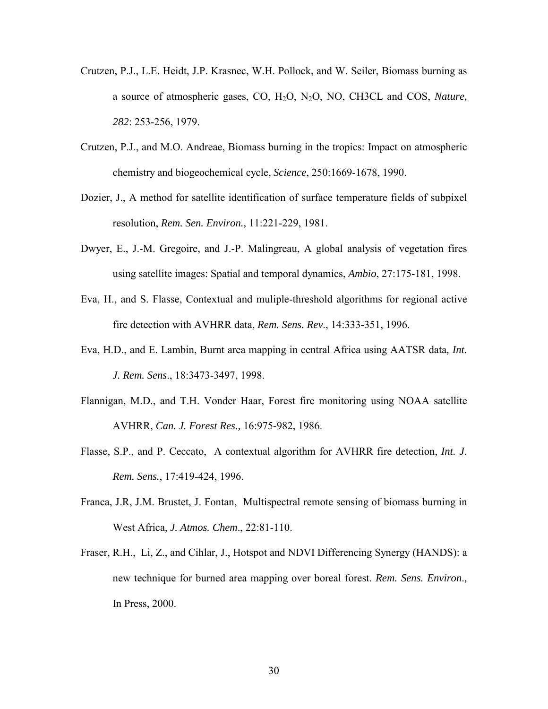- Crutzen, P.J., L.E. Heidt, J.P. Krasnec, W.H. Pollock, and W. Seiler, Biomass burning as a source of atmospheric gases, CO, H2O, N2O, NO, CH3CL and COS, *Nature, 282*: 253-256, 1979.
- Crutzen, P.J., and M.O. Andreae, Biomass burning in the tropics: Impact on atmospheric chemistry and biogeochemical cycle, *Science*, 250:1669-1678, 1990.
- Dozier, J., A method for satellite identification of surface temperature fields of subpixel resolution, *Rem. Sen. Environ.,* 11:221-229, 1981.
- Dwyer, E., J.-M. Gregoire, and J.-P. Malingreau, A global analysis of vegetation fires using satellite images: Spatial and temporal dynamics, *Ambio*, 27:175-181, 1998.
- Eva, H., and S. Flasse, Contextual and muliple-threshold algorithms for regional active fire detection with AVHRR data, *Rem. Sens. Rev*., 14:333-351, 1996.
- Eva, H.D., and E. Lambin, Burnt area mapping in central Africa using AATSR data*, Int. J. Rem. Sens*., 18:3473-3497, 1998.
- Flannigan, M.D., and T.H. Vonder Haar, Forest fire monitoring using NOAA satellite AVHRR, *Can. J. Forest Res.,* 16:975-982, 1986.
- Flasse, S.P., and P. Ceccato, A contextual algorithm for AVHRR fire detection, *Int. J. Rem. Sens.*, 17:419-424, 1996.
- Franca, J.R, J.M. Brustet, J. Fontan, Multispectral remote sensing of biomass burning in West Africa, *J. Atmos. Chem*., 22:81-110.
- Fraser, R.H., Li, Z., and Cihlar, J., Hotspot and NDVI Differencing Synergy (HANDS): a new technique for burned area mapping over boreal forest. *Rem. Sens. Environ*.*,* In Press, 2000.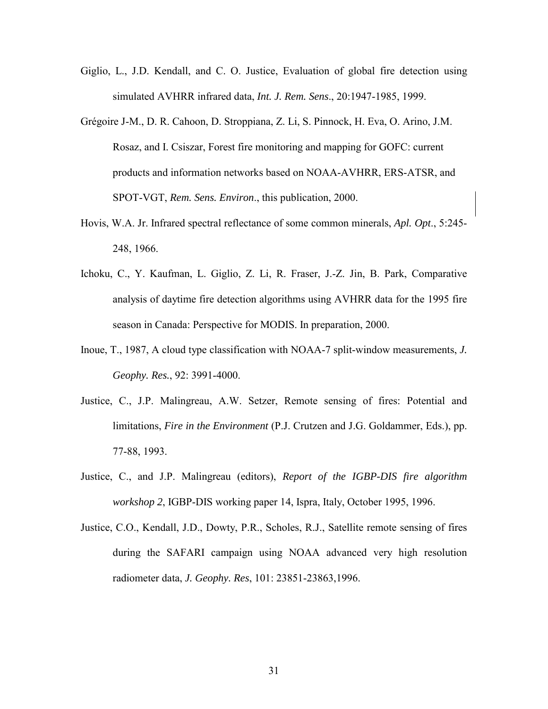- Giglio, L., J.D. Kendall, and C. O. Justice, Evaluation of global fire detection using simulated AVHRR infrared data, *Int. J. Rem. Sens*., 20:1947-1985, 1999.
- Grégoire J-M., D. R. Cahoon, D. Stroppiana, Z. Li, S. Pinnock, H. Eva, O. Arino, J.M. Rosaz, and I. Csiszar, Forest fire monitoring and mapping for GOFC: current products and information networks based on NOAA-AVHRR, ERS-ATSR, and SPOT-VGT, *Rem. Sens. Environ*., this publication, 2000.
- Hovis, W.A. Jr. Infrared spectral reflectance of some common minerals, *Apl. Opt*., 5:245- 248, 1966.
- Ichoku, C., Y. Kaufman, L. Giglio, Z. Li, R. Fraser, J.-Z. Jin, B. Park, Comparative analysis of daytime fire detection algorithms using AVHRR data for the 1995 fire season in Canada: Perspective for MODIS. In preparation, 2000.
- Inoue, T., 1987, A cloud type classification with NOAA-7 split-window measurements, *J. Geophy. Res.*, 92: 3991-4000.
- Justice, C., J.P. Malingreau, A.W. Setzer, Remote sensing of fires: Potential and limitations, *Fire in the Environment* (P.J. Crutzen and J.G. Goldammer, Eds.), pp. 77-88, 1993.
- Justice, C., and J.P. Malingreau (editors), *Report of the IGBP-DIS fire algorithm workshop 2*, IGBP-DIS working paper 14, Ispra, Italy, October 1995, 1996.
- Justice, C.O., Kendall, J.D., Dowty, P.R., Scholes, R.J., Satellite remote sensing of fires during the SAFARI campaign using NOAA advanced very high resolution radiometer data, *J. Geophy. Res*, 101: 23851-23863,1996.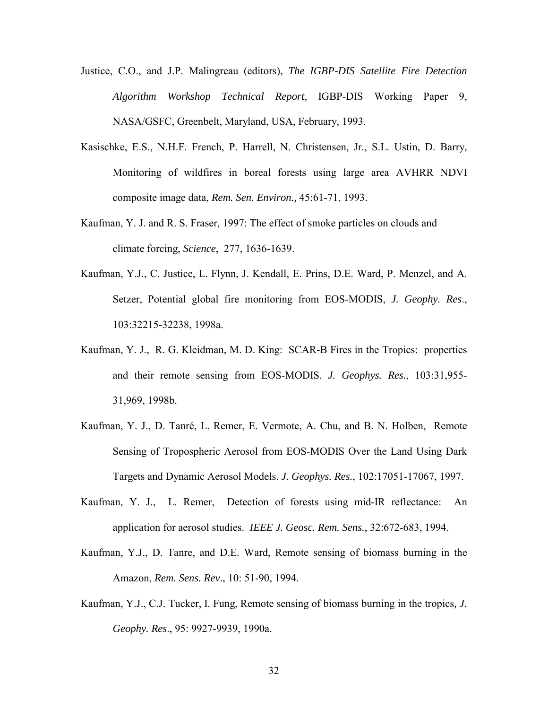- Justice, C.O., and J.P. Malingreau (editors), *The IGBP-DIS Satellite Fire Detection Algorithm Workshop Technical Report*, IGBP-DIS Working Paper 9, NASA/GSFC, Greenbelt, Maryland, USA, February, 1993.
- Kasischke, E.S., N.H.F. French, P. Harrell, N. Christensen, Jr., S.L. Ustin, D. Barry, Monitoring of wildfires in boreal forests using large area AVHRR NDVI composite image data, *Rem. Sen. Environ.,* 45:61-71, 1993.
- Kaufman, Y. J. and R. S. Fraser, 1997: The effect of smoke particles on clouds and climate forcing, *Science*, 277, 1636-1639.
- Kaufman, Y.J., C. Justice, L. Flynn, J. Kendall, E. Prins, D.E. Ward, P. Menzel, and A. Setzer, Potential global fire monitoring from EOS-MODIS, *J. Geophy. Res*., 103:32215-32238, 1998a.
- Kaufman, Y. J., R. G. Kleidman, M. D. King: SCAR-B Fires in the Tropics: properties and their remote sensing from EOS-MODIS. *J. Geophys. Res.*, 103:31,955- 31,969, 1998b.
- Kaufman, Y. J., D. Tanré, L. Remer, E. Vermote, A. Chu, and B. N. Holben, Remote Sensing of Tropospheric Aerosol from EOS-MODIS Over the Land Using Dark Targets and Dynamic Aerosol Models. *J. Geophys. Res.*, 102:17051-17067, 1997.
- Kaufman, Y. J., L. Remer, Detection of forests using mid-IR reflectance: An application for aerosol studies. *IEEE J. Geosc. Rem. Sens.*, 32:672-683, 1994.
- Kaufman, Y.J., D. Tanre, and D.E. Ward, Remote sensing of biomass burning in the Amazon, *Rem. Sens. Rev*., 10: 51-90, 1994.
- Kaufman, Y.J., C.J. Tucker, I. Fung, Remote sensing of biomass burning in the tropics*, J. Geophy. Res*., 95: 9927-9939, 1990a.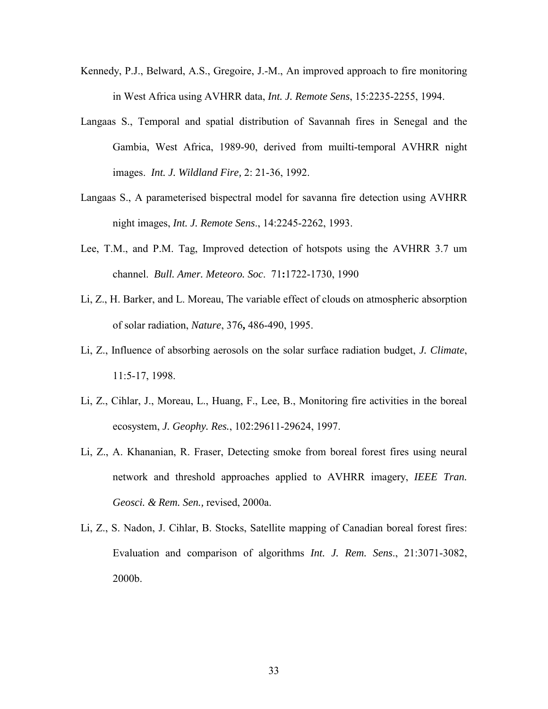- Kennedy, P.J., Belward, A.S., Gregoire, J.-M., An improved approach to fire monitoring in West Africa using AVHRR data, *Int. J. Remote Sens*, 15:2235-2255, 1994.
- Langaas S., Temporal and spatial distribution of Savannah fires in Senegal and the Gambia, West Africa, 1989-90, derived from muilti-temporal AVHRR night images. *Int. J. Wildland Fire,* 2: 21-36, 1992.
- Langaas S., A parameterised bispectral model for savanna fire detection using AVHRR night images, *Int. J. Remote Sens*., 14:2245-2262, 1993.
- Lee, T.M., and P.M. Tag, Improved detection of hotspots using the AVHRR 3.7 um channel. *Bull. Amer. Meteoro. Soc*. 71**:**1722-1730, 1990
- Li, Z., H. Barker, and L. Moreau, The variable effect of clouds on atmospheric absorption of solar radiation, *Nature*, 376**,** 486-490, 1995.
- Li, Z., Influence of absorbing aerosols on the solar surface radiation budget, *J. Climate*, 11:5-17, 1998.
- Li, Z., Cihlar, J., Moreau, L., Huang, F., Lee, B., Monitoring fire activities in the boreal ecosystem, *J. Geophy. Res.*, 102:29611-29624, 1997.
- Li, Z., A. Khananian, R. Fraser, Detecting smoke from boreal forest fires using neural network and threshold approaches applied to AVHRR imagery, *IEEE Tran. Geosci. & Rem. Sen.,* revised, 2000a.
- Li, Z., S. Nadon, J. Cihlar, B. Stocks, Satellite mapping of Canadian boreal forest fires: Evaluation and comparison of algorithms *Int. J. Rem. Sens*., 21:3071-3082, 2000b.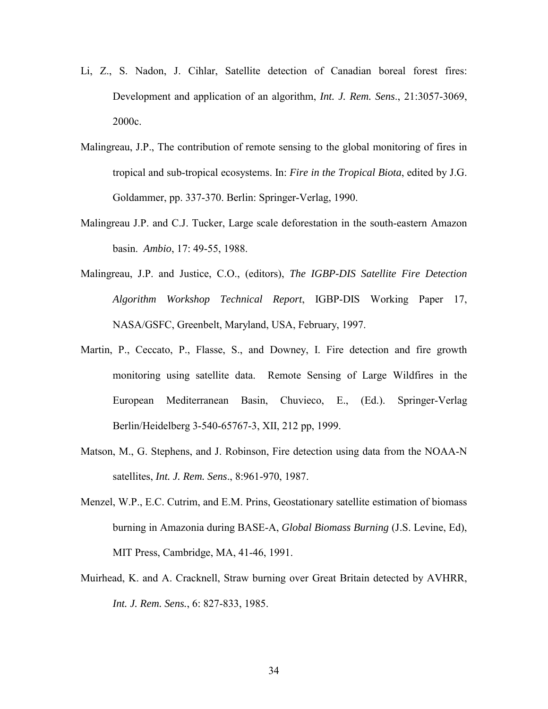- Li, Z., S. Nadon, J. Cihlar, Satellite detection of Canadian boreal forest fires: Development and application of an algorithm, *Int. J. Rem. Sens*., 21:3057-3069, 2000c.
- Malingreau, J.P., The contribution of remote sensing to the global monitoring of fires in tropical and sub-tropical ecosystems. In: *Fire in the Tropical Biota*, edited by J.G. Goldammer, pp. 337-370. Berlin: Springer-Verlag, 1990.
- Malingreau J.P. and C.J. Tucker, Large scale deforestation in the south-eastern Amazon basin. *Ambio*, 17: 49-55, 1988.
- Malingreau, J.P. and Justice, C.O., (editors), *The IGBP-DIS Satellite Fire Detection Algorithm Workshop Technical Report*, IGBP-DIS Working Paper 17, NASA/GSFC, Greenbelt, Maryland, USA, February, 1997.
- Martin, P., Ceccato, P., Flasse, S., and Downey, I. Fire detection and fire growth monitoring using satellite data. Remote Sensing of Large Wildfires in the European Mediterranean Basin, Chuvieco, E., (Ed.). Springer-Verlag Berlin/Heidelberg 3-540-65767-3, XII, 212 pp, 1999.
- Matson, M., G. Stephens, and J. Robinson, Fire detection using data from the NOAA-N satellites, *Int. J. Rem. Sens*., 8:961-970, 1987.
- Menzel, W.P., E.C. Cutrim, and E.M. Prins, Geostationary satellite estimation of biomass burning in Amazonia during BASE-A, *Global Biomass Burning* (J.S. Levine, Ed), MIT Press, Cambridge, MA, 41-46, 1991.
- Muirhead, K. and A. Cracknell, Straw burning over Great Britain detected by AVHRR, *Int. J. Rem. Sens.*, 6: 827-833, 1985.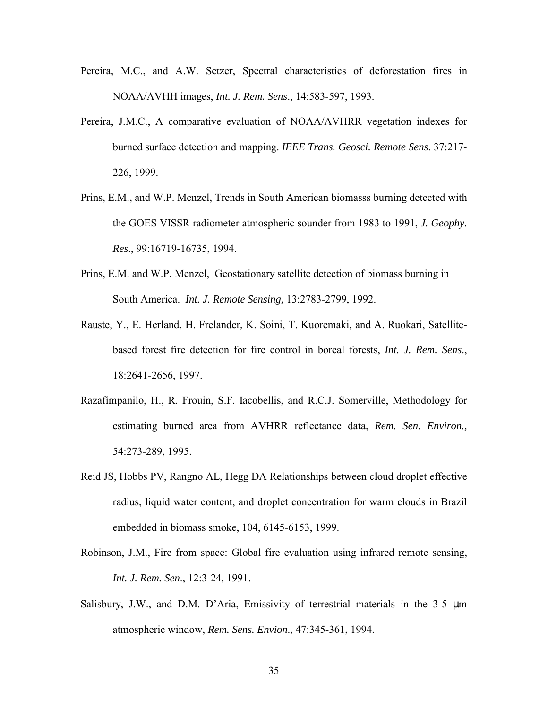- Pereira, M.C., and A.W. Setzer, Spectral characteristics of deforestation fires in NOAA/AVHH images, *Int. J. Rem. Sens*., 14:583-597, 1993.
- Pereira, J.M.C., A comparative evaluation of NOAA/AVHRR vegetation indexes for burned surface detection and mapping. *IEEE Trans. Geosci. Remote Sens*. 37:217- 226, 1999.
- Prins, E.M., and W.P. Menzel, Trends in South American biomasss burning detected with the GOES VISSR radiometer atmospheric sounder from 1983 to 1991, *J. Geophy. Res*., 99:16719-16735, 1994.
- Prins, E.M. and W.P. Menzel, Geostationary satellite detection of biomass burning in South America. *Int. J. Remote Sensing,* 13:2783-2799, 1992.
- Rauste, Y., E. Herland, H. Frelander, K. Soini, T. Kuoremaki, and A. Ruokari, Satellitebased forest fire detection for fire control in boreal forests, *Int. J. Rem. Sens*., 18:2641-2656, 1997.
- Razafimpanilo, H., R. Frouin, S.F. Iacobellis, and R.C.J. Somerville, Methodology for estimating burned area from AVHRR reflectance data, *Rem. Sen. Environ.,* 54:273-289, 1995.
- Reid JS, Hobbs PV, Rangno AL, Hegg DA Relationships between cloud droplet effective radius, liquid water content, and droplet concentration for warm clouds in Brazil embedded in biomass smoke, 104, 6145-6153, 1999.
- Robinson, J.M., Fire from space: Global fire evaluation using infrared remote sensing, *Int. J. Rem. Sen*., 12:3-24, 1991.
- Salisbury, J.W., and D.M. D'Aria, Emissivity of terrestrial materials in the 3-5  $\mu$ m atmospheric window, *Rem. Sens. Envion*., 47:345-361, 1994.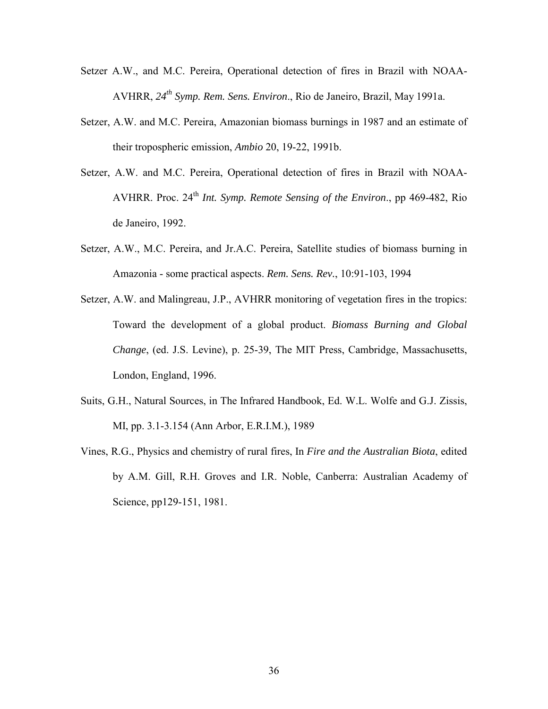- Setzer A.W., and M.C. Pereira, Operational detection of fires in Brazil with NOAA-AVHRR, *24th Symp. Rem. Sens. Environ*., Rio de Janeiro, Brazil, May 1991a.
- Setzer, A.W. and M.C. Pereira, Amazonian biomass burnings in 1987 and an estimate of their tropospheric emission, *Ambio* 20, 19-22, 1991b.
- Setzer, A.W. and M.C. Pereira, Operational detection of fires in Brazil with NOAA-AVHRR. Proc. 24th *Int. Symp. Remote Sensing of the Environ*., pp 469-482, Rio de Janeiro, 1992.
- Setzer, A.W., M.C. Pereira, and Jr.A.C. Pereira, Satellite studies of biomass burning in Amazonia - some practical aspects. *Rem. Sens. Rev.*, 10:91-103, 1994
- Setzer, A.W. and Malingreau, J.P., AVHRR monitoring of vegetation fires in the tropics: Toward the development of a global product. *Biomass Burning and Global Change*, (ed. J.S. Levine), p. 25-39, The MIT Press, Cambridge, Massachusetts, London, England, 1996.
- Suits, G.H., Natural Sources, in The Infrared Handbook, Ed. W.L. Wolfe and G.J. Zissis, MI, pp. 3.1-3.154 (Ann Arbor, E.R.I.M.), 1989
- Vines, R.G., Physics and chemistry of rural fires, In *Fire and the Australian Biota*, edited by A.M. Gill, R.H. Groves and I.R. Noble, Canberra: Australian Academy of Science, pp129-151, 1981.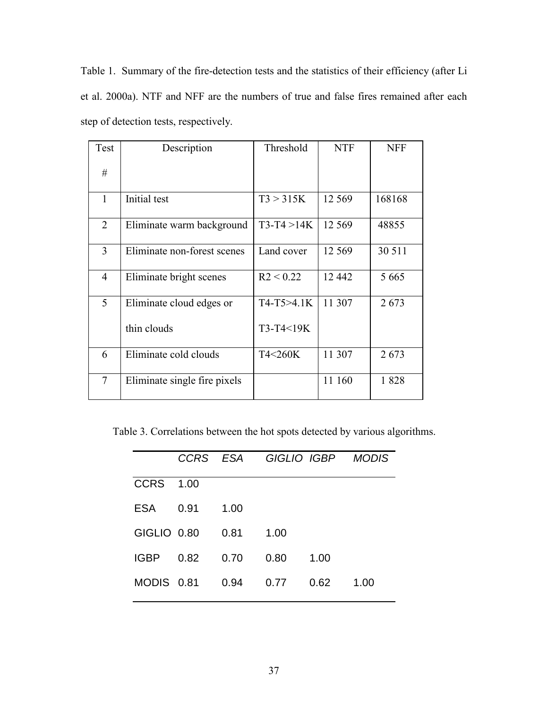Table 1. Summary of the fire-detection tests and the statistics of their efficiency (after Li et al. 2000a). NTF and NFF are the numbers of true and false fires remained after each step of detection tests, respectively.

| Test           | Description                  | Threshold      | <b>NTF</b> | <b>NFF</b> |
|----------------|------------------------------|----------------|------------|------------|
| #              |                              |                |            |            |
| $\mathbf{1}$   | Initial test                 | T3 > 315K      | 12 5 6 9   | 168168     |
| 2              | Eliminate warm background    | $T3-T4 > 14K$  | 12 5 6 9   | 48855      |
| 3              | Eliminate non-forest scenes  | Land cover     | 12 5 6 9   | 30 511     |
| $\overline{4}$ | Eliminate bright scenes      | R2 < 0.22      | 12 4 42    | 5 6 6 5    |
| 5              | Eliminate cloud edges or     | $T4-T5 > 4.1K$ | 11 307     | 2673       |
|                | thin clouds                  | T3-T4<19K      |            |            |
| 6              | Eliminate cold clouds        | T4<260K        | 11 307     | 2673       |
| 7              | Eliminate single fire pixels |                | 11 160     | 1828       |

Table 3. Correlations between the hot spots detected by various algorithms.

|             |      | CCRS ESA |      | GIGLIO IGBP | <b>MODIS</b> |
|-------------|------|----------|------|-------------|--------------|
| <b>CCRS</b> | 1.00 |          |      |             |              |
| <b>ESA</b>  | 0.91 | 1.00     |      |             |              |
| GIGLIO 0.80 |      | 0.81     | 1.00 |             |              |
| <b>IGBP</b> | 0.82 | 0.70     | 0.80 | 1.00        |              |
| MODIS 0.81  |      | 0.94     | 0.77 | 0.62        | 1.00         |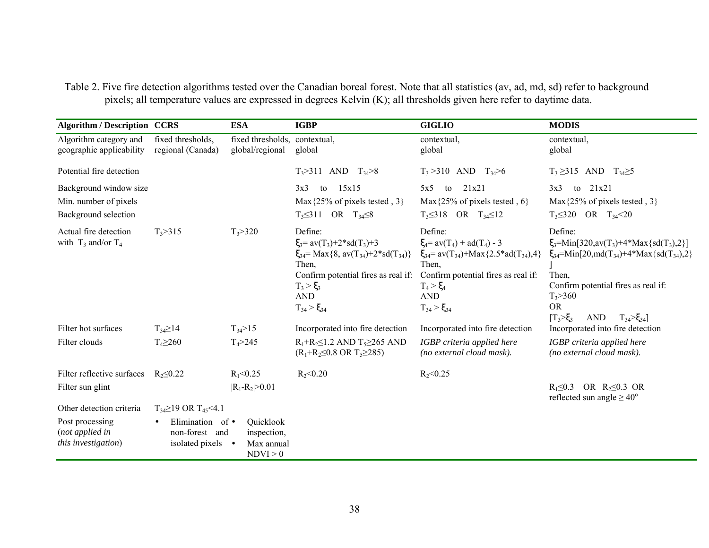Table 2. Five fire detection algorithms tested over the Canadian boreal forest. Note that all statistics (av, ad, md, sd) refer to background pixels; all temperature values are expressed in degrees Kelvin (K); all thresholds given here refer to daytime data.

| <b>Algorithm / Description CCRS</b>                                     |                                                         | <b>ESA</b>                                         | <b>IGBP</b>                                                                                                                                                                                                                 | <b>GIGLIO</b>                                                                                                                                                                                                         | <b>MODIS</b>                                                                                                                                                                                                                                                                        |
|-------------------------------------------------------------------------|---------------------------------------------------------|----------------------------------------------------|-----------------------------------------------------------------------------------------------------------------------------------------------------------------------------------------------------------------------------|-----------------------------------------------------------------------------------------------------------------------------------------------------------------------------------------------------------------------|-------------------------------------------------------------------------------------------------------------------------------------------------------------------------------------------------------------------------------------------------------------------------------------|
| Algorithm category and<br>geographic applicability                      | fixed thresholds,<br>regional (Canada)                  | fixed thresholds, contextual,<br>global/regional   | global                                                                                                                                                                                                                      | contextual,<br>global                                                                                                                                                                                                 | contextual,<br>global                                                                                                                                                                                                                                                               |
| Potential fire detection                                                |                                                         |                                                    | $T_3 > 311$ AND $T_{34} > 8$                                                                                                                                                                                                | $T_3 > 310$ AND $T_{34} > 6$                                                                                                                                                                                          | $T_3 \geq 315$ AND $T_{34} \geq 5$                                                                                                                                                                                                                                                  |
| Background window size<br>Min. number of pixels<br>Background selection |                                                         |                                                    | 15x15<br>3x3<br>to<br>Max $\{25\%$ of pixels tested, 3}<br>$T_3 \leq 311$ OR $T_{34} \leq 8$                                                                                                                                | 21x21<br>5x5<br>to<br>Max $\{25\%$ of pixels tested, 6}<br>$T_3 \leq 318$ OR $T_{34} \leq 12$                                                                                                                         | to $21x21$<br>3x3<br>Max $\{25\%$ of pixels tested, 3<br>$T_3 \leq 320$ OR $T_{34} < 20$                                                                                                                                                                                            |
| Actual fire detection<br>with $T_3$ and/or $T_4$                        | $T_3 > 315$                                             | $T_3 > 320$                                        | Define:<br>$\xi_3 = av(T_3) + 2*sd(T_3) + 3$<br>$\xi_{34}$ = Max {8, av(T <sub>34</sub> )+2*sd(T <sub>34</sub> )}<br>Then,<br>Confirm potential fires as real if:<br>$T_3 > \xi_3$<br>$\mathbf{AND}$<br>$T_{34} > \xi_{34}$ | Define:<br>$\xi_4 = av(T_4) + ad(T_4) - 3$<br>$\xi_{34}$ = av(T <sub>34</sub> )+Max{2.5*ad(T <sub>34</sub> ),4}<br>Then.<br>Confirm potential fires as real if:<br>$T_4 > \xi_4$<br><b>AND</b><br>$T_{34} > \xi_{34}$ | Define:<br>$\xi_3$ =Min[320,av(T <sub>3</sub> )+4*Max{sd(T <sub>3</sub> ),2}]<br>$\xi_{34}$ =Min[20,md(T <sub>34</sub> )+4*Max{sd(T <sub>34</sub> ),2}<br>Then,<br>Confirm potential fires as real if:<br>$T_3 > 360$<br><b>OR</b><br>$T_3 > \xi_3$<br>AND<br>$T_{34} > \xi_{34}$ ] |
| Filter hot surfaces                                                     | $T_{34} \geq 14$                                        | $T_{34} > 15$                                      | Incorporated into fire detection                                                                                                                                                                                            | Incorporated into fire detection                                                                                                                                                                                      | Incorporated into fire detection                                                                                                                                                                                                                                                    |
| Filter clouds                                                           | $T_4 \ge 260$                                           | $T_4 > 245$                                        | $R_1 + R_2 \leq 1.2$ AND $T_5 \geq 265$ AND<br>$(R_1+R_2\leq 0.8 \text{ OR } T_5\geq 285)$                                                                                                                                  | IGBP criteria applied here<br>(no external cloud mask).                                                                                                                                                               | IGBP criteria applied here<br>(no external cloud mask).                                                                                                                                                                                                                             |
| Filter reflective surfaces                                              | $R_2 \leq 0.22$                                         | $R_1 < 0.25$                                       | $R_{2}$ < 0.20                                                                                                                                                                                                              | $R_2 < 0.25$                                                                                                                                                                                                          |                                                                                                                                                                                                                                                                                     |
| Filter sun glint                                                        |                                                         | $ R_1 - R_2  > 0.01$                               |                                                                                                                                                                                                                             |                                                                                                                                                                                                                       | $R_1 \leq 0.3$ OR $R_2 \leq 0.3$ OR<br>reflected sun angle $\geq 40^{\circ}$                                                                                                                                                                                                        |
| Other detection criteria                                                | $T_{34} \ge 19$ OR $T_{45}$ < 4.1                       |                                                    |                                                                                                                                                                                                                             |                                                                                                                                                                                                                       |                                                                                                                                                                                                                                                                                     |
| Post processing<br>(not applied in<br>this investigation)               | Elimination of •<br>non-forest and<br>isolated pixels • | Quicklook<br>inspection,<br>Max annual<br>NDVI > 0 |                                                                                                                                                                                                                             |                                                                                                                                                                                                                       |                                                                                                                                                                                                                                                                                     |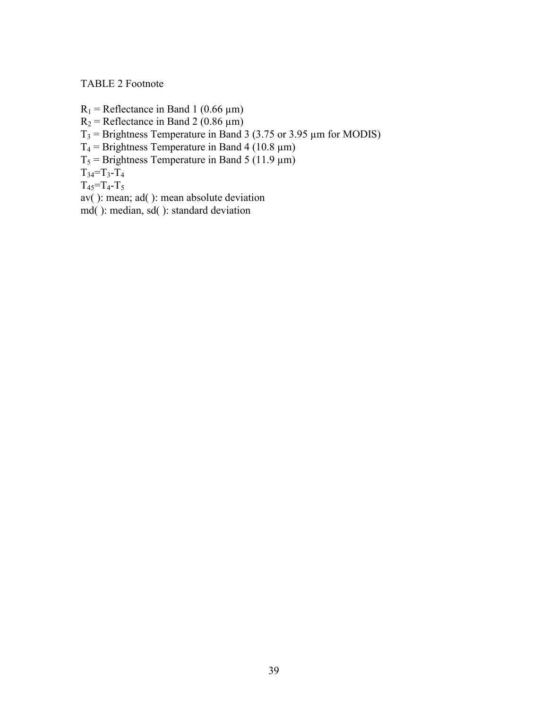# TABLE 2 Footnote

 $R_1$  = Reflectance in Band 1 (0.66  $\mu$ m)  $R_2$  = Reflectance in Band 2 (0.86  $\mu$ m)  $T_3$  = Brightness Temperature in Band 3 (3.75 or 3.95  $\mu$ m for MODIS)  $T_4$  = Brightness Temperature in Band 4 (10.8 µm)  $T_5$  = Brightness Temperature in Band 5 (11.9 µm)  $T_{34}=T_{3}-T_{4}$  $T_{45} = T_{4} - T_{5}$ av( ): mean; ad( ): mean absolute deviation

md( ): median, sd( ): standard deviation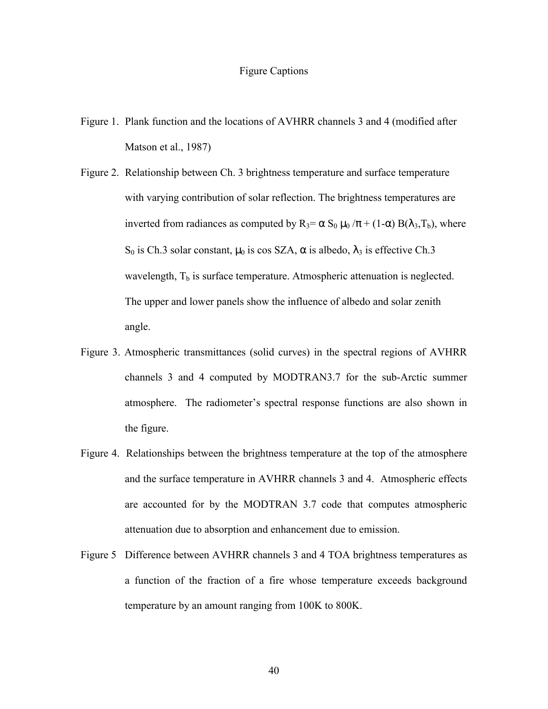#### Figure Captions

- Figure 1. Plank function and the locations of AVHRR channels 3 and 4 (modified after Matson et al., 1987)
- Figure 2. Relationship between Ch. 3 brightness temperature and surface temperature with varying contribution of solar reflection. The brightness temperatures are inverted from radiances as computed by  $R_3 = \alpha S_0 \mu_0 / \pi + (1-\alpha) B(\lambda_3, T_b)$ , where S<sub>0</sub> is Ch.3 solar constant,  $\mu_0$  is cos SZA,  $\alpha$  is albedo,  $\lambda_3$  is effective Ch.3 wavelength,  $T_b$  is surface temperature. Atmospheric attenuation is neglected. The upper and lower panels show the influence of albedo and solar zenith angle.
- Figure 3. Atmospheric transmittances (solid curves) in the spectral regions of AVHRR channels 3 and 4 computed by MODTRAN3.7 for the sub-Arctic summer atmosphere. The radiometer's spectral response functions are also shown in the figure.
- Figure 4. Relationships between the brightness temperature at the top of the atmosphere and the surface temperature in AVHRR channels 3 and 4. Atmospheric effects are accounted for by the MODTRAN 3.7 code that computes atmospheric attenuation due to absorption and enhancement due to emission.
- Figure 5 Difference between AVHRR channels 3 and 4 TOA brightness temperatures as a function of the fraction of a fire whose temperature exceeds background temperature by an amount ranging from 100K to 800K.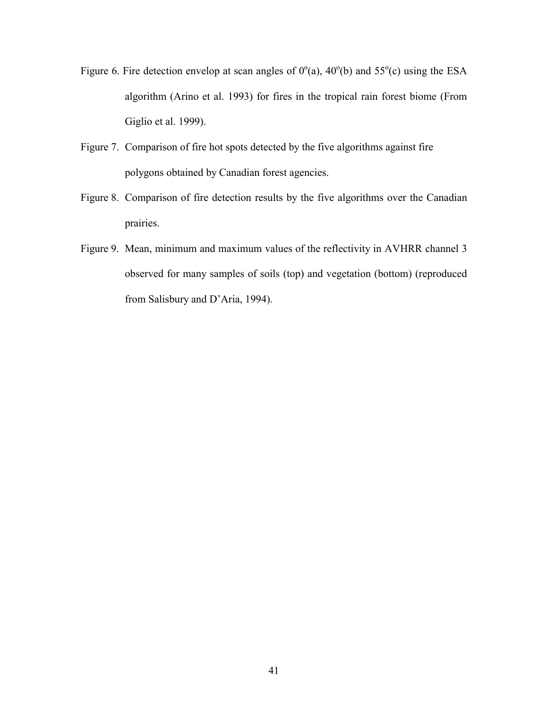- Figure 6. Fire detection envelop at scan angles of  $0^{\circ}$ (a),  $40^{\circ}$ (b) and  $55^{\circ}$ (c) using the ESA algorithm (Arino et al. 1993) for fires in the tropical rain forest biome (From Giglio et al. 1999).
- Figure 7. Comparison of fire hot spots detected by the five algorithms against fire polygons obtained by Canadian forest agencies.
- Figure 8. Comparison of fire detection results by the five algorithms over the Canadian prairies.
- Figure 9. Mean, minimum and maximum values of the reflectivity in AVHRR channel 3 observed for many samples of soils (top) and vegetation (bottom) (reproduced from Salisbury and D'Aria, 1994).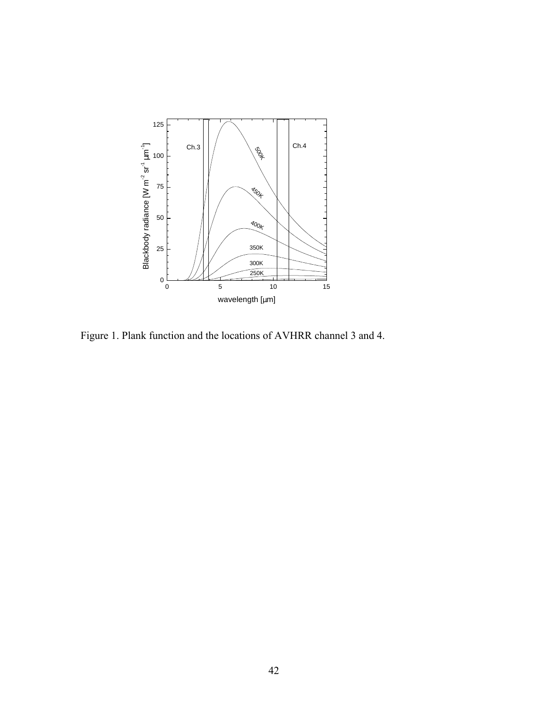

Figure 1. Plank function and the locations of AVHRR channel 3 and 4.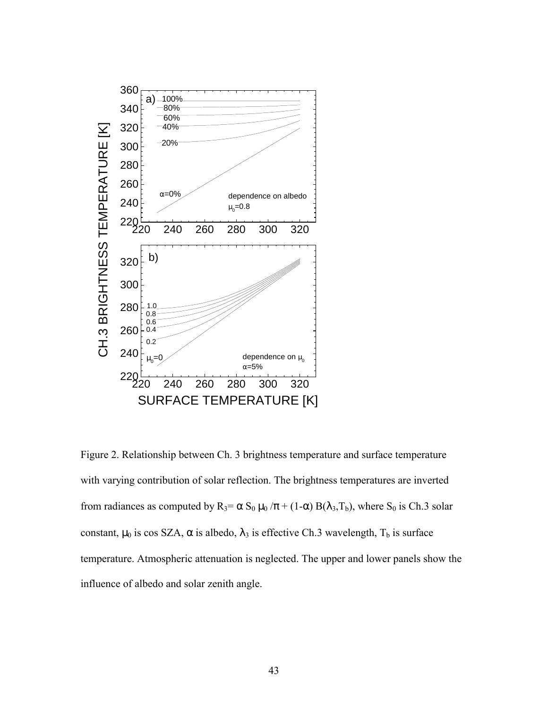

Figure 2. Relationship between Ch. 3 brightness temperature and surface temperature with varying contribution of solar reflection. The brightness temperatures are inverted from radiances as computed by  $R_3 = \alpha S_0 \mu_0 / \pi + (1-\alpha) B(\lambda_3, T_b)$ , where  $S_0$  is Ch.3 solar constant,  $\mu_0$  is cos SZA,  $\alpha$  is albedo,  $\lambda_3$  is effective Ch.3 wavelength,  $T_b$  is surface temperature. Atmospheric attenuation is neglected. The upper and lower panels show the influence of albedo and solar zenith angle.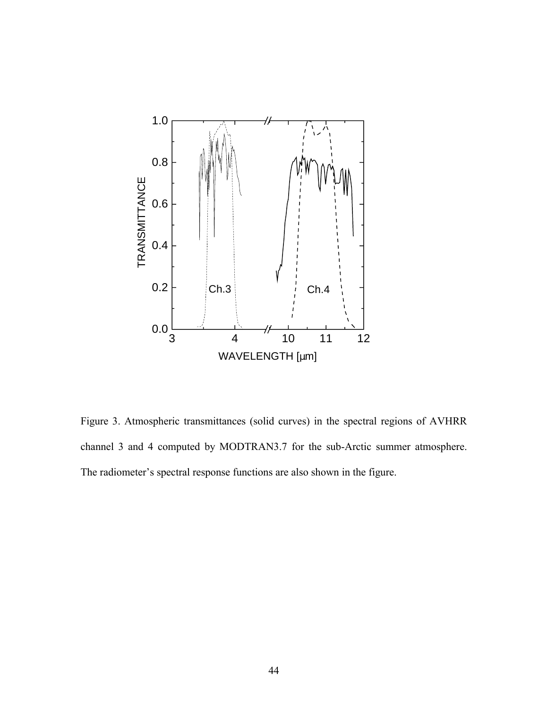

Figure 3. Atmospheric transmittances (solid curves) in the spectral regions of AVHRR channel 3 and 4 computed by MODTRAN3.7 for the sub-Arctic summer atmosphere. The radiometer's spectral response functions are also shown in the figure.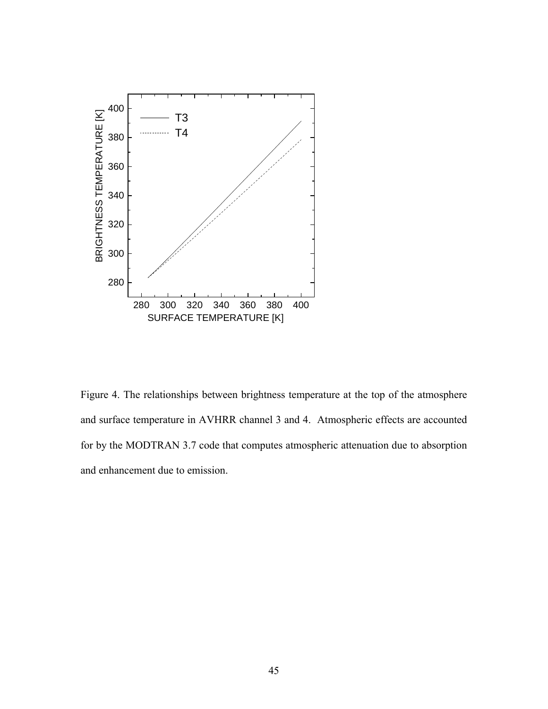

Figure 4. The relationships between brightness temperature at the top of the atmosphere and surface temperature in AVHRR channel 3 and 4. Atmospheric effects are accounted for by the MODTRAN 3.7 code that computes atmospheric attenuation due to absorption and enhancement due to emission.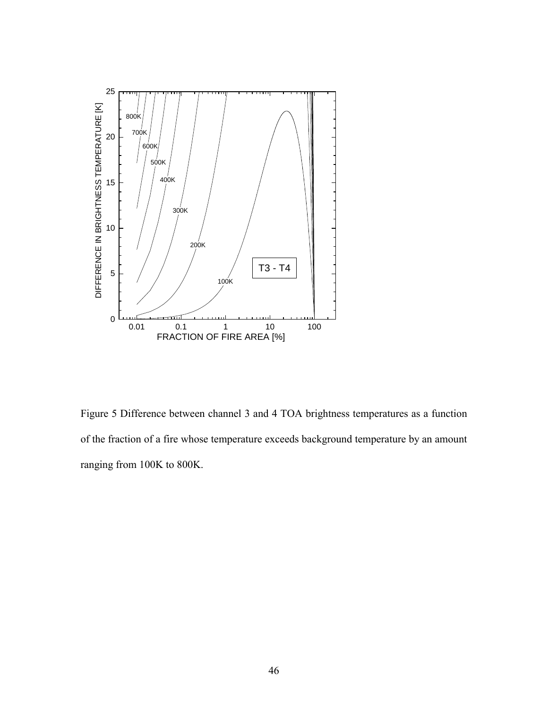

Figure 5 Difference between channel 3 and 4 TOA brightness temperatures as a function of the fraction of a fire whose temperature exceeds background temperature by an amount ranging from 100K to 800K.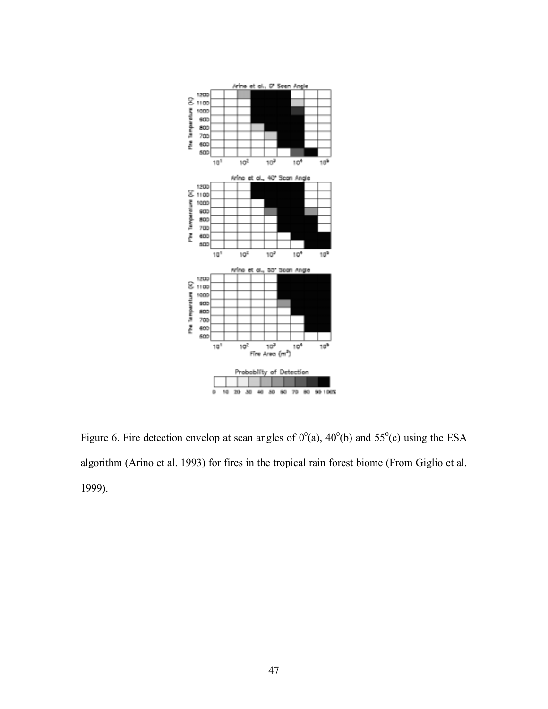

Figure 6. Fire detection envelop at scan angles of  $0^{\circ}$ (a),  $40^{\circ}$ (b) and  $55^{\circ}$ (c) using the ESA algorithm (Arino et al. 1993) for fires in the tropical rain forest biome (From Giglio et al. 1999).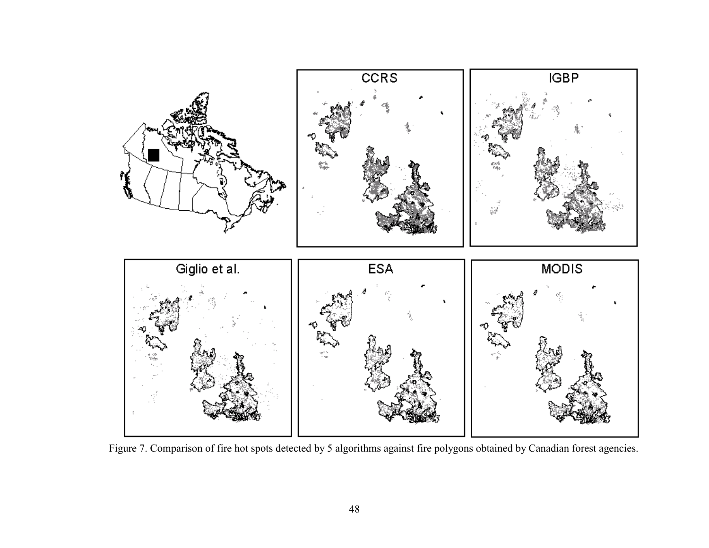

Figure 7. Comparison of fire hot spots detected by 5 algorithms against fire polygons obtained by Canadian forest agencies.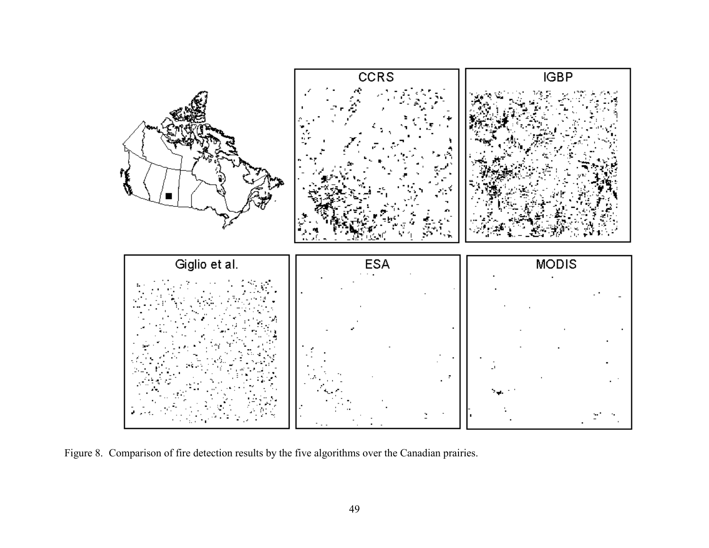

Figure 8. Comparison of fire detection results by the five algorithms over the Canadian prairies.